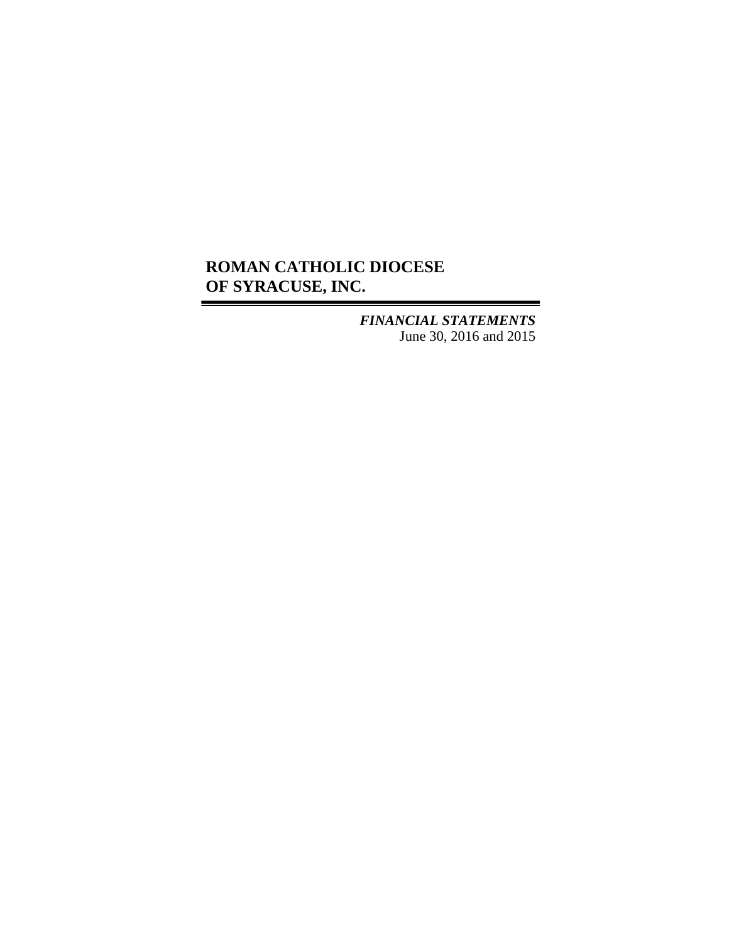## **ROMAN CATHOLIC DIOCESE OF SYRACUSE, INC.**

*FINANCIAL STATEMENTS* June 30, 2016 and 2015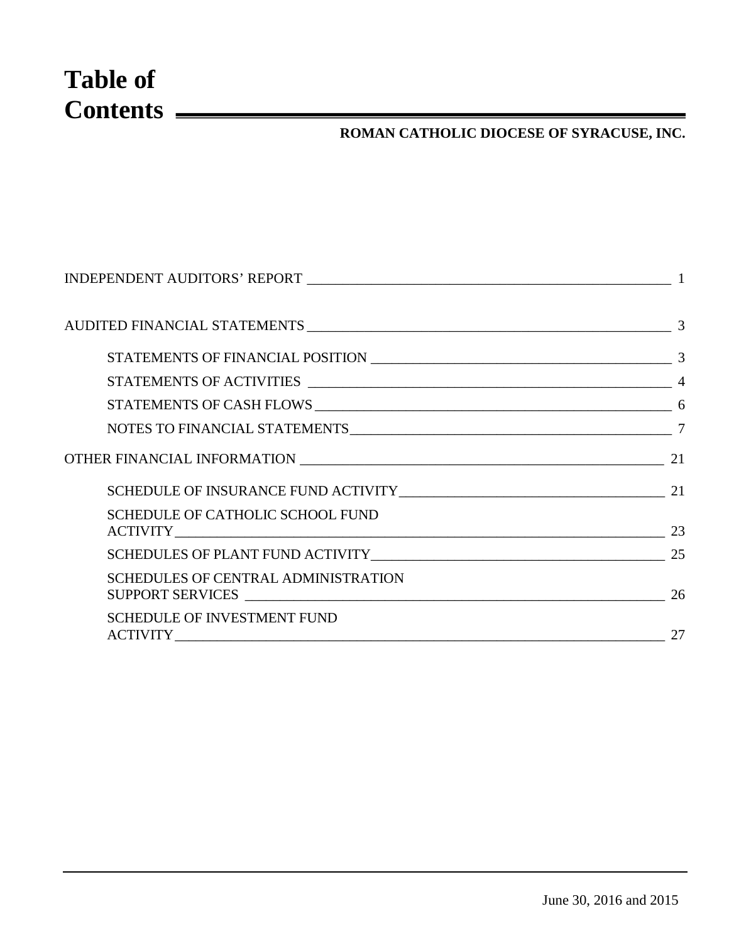# **Table of Contents**

## **ROMAN CATHOLIC DIOCESE OF SYRACUSE, INC.**

| NOTES TO FINANCIAL STATEMENTS 7 7                 |    |
|---------------------------------------------------|----|
|                                                   | 21 |
| SCHEDULE OF INSURANCE FUND ACTIVITY 21 21         |    |
| SCHEDULE OF CATHOLIC SCHOOL FUND<br>ACTIVITY 23   |    |
| SCHEDULES OF PLANT FUND ACTIVITY 1 25             |    |
| <b>SCHEDULES OF CENTRAL ADMINISTRATION</b>        | 26 |
| <b>SCHEDULE OF INVESTMENT FUND</b><br>ACTIVITY 27 |    |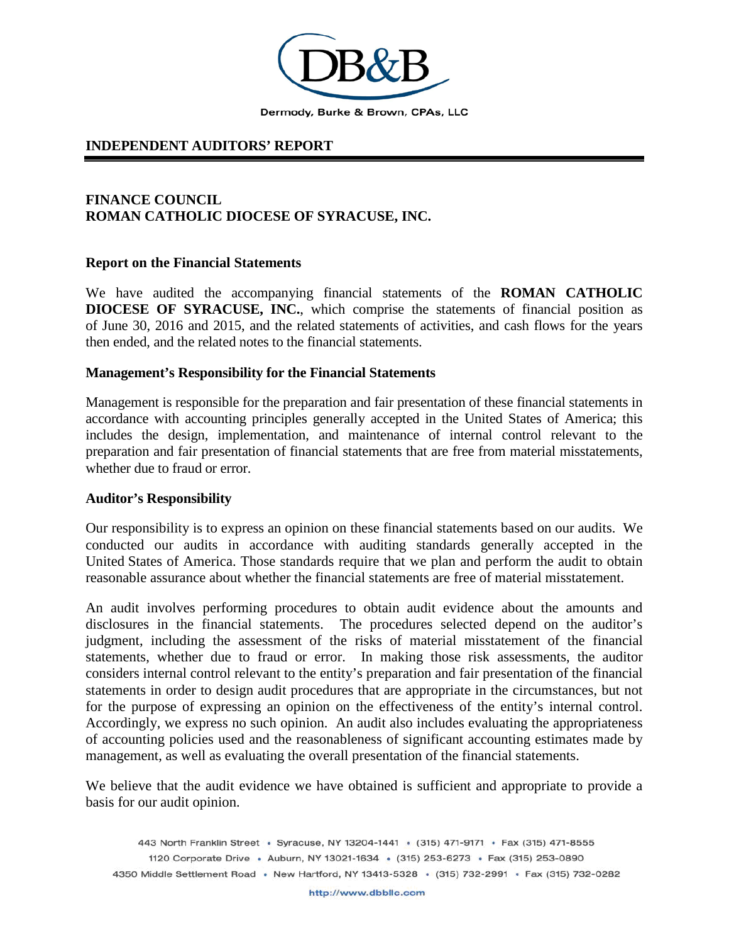

#### <span id="page-2-0"></span>**INDEPENDENT AUDITORS' REPORT**

#### **FINANCE COUNCIL ROMAN CATHOLIC DIOCESE OF SYRACUSE, INC.**

#### **Report on the Financial Statements**

We have audited the accompanying financial statements of the **ROMAN CATHOLIC DIOCESE OF SYRACUSE, INC.**, which comprise the statements of financial position as of June 30, 2016 and 2015, and the related statements of activities, and cash flows for the years then ended, and the related notes to the financial statements.

#### **Management's Responsibility for the Financial Statements**

Management is responsible for the preparation and fair presentation of these financial statements in accordance with accounting principles generally accepted in the United States of America; this includes the design, implementation, and maintenance of internal control relevant to the preparation and fair presentation of financial statements that are free from material misstatements, whether due to fraud or error.

#### **Auditor's Responsibility**

Our responsibility is to express an opinion on these financial statements based on our audits. We conducted our audits in accordance with auditing standards generally accepted in the United States of America. Those standards require that we plan and perform the audit to obtain reasonable assurance about whether the financial statements are free of material misstatement.

An audit involves performing procedures to obtain audit evidence about the amounts and disclosures in the financial statements. The procedures selected depend on the auditor's judgment, including the assessment of the risks of material misstatement of the financial statements, whether due to fraud or error. In making those risk assessments, the auditor considers internal control relevant to the entity's preparation and fair presentation of the financial statements in order to design audit procedures that are appropriate in the circumstances, but not for the purpose of expressing an opinion on the effectiveness of the entity's internal control. Accordingly, we express no such opinion. An audit also includes evaluating the appropriateness of accounting policies used and the reasonableness of significant accounting estimates made by management, as well as evaluating the overall presentation of the financial statements.

We believe that the audit evidence we have obtained is sufficient and appropriate to provide a basis for our audit opinion.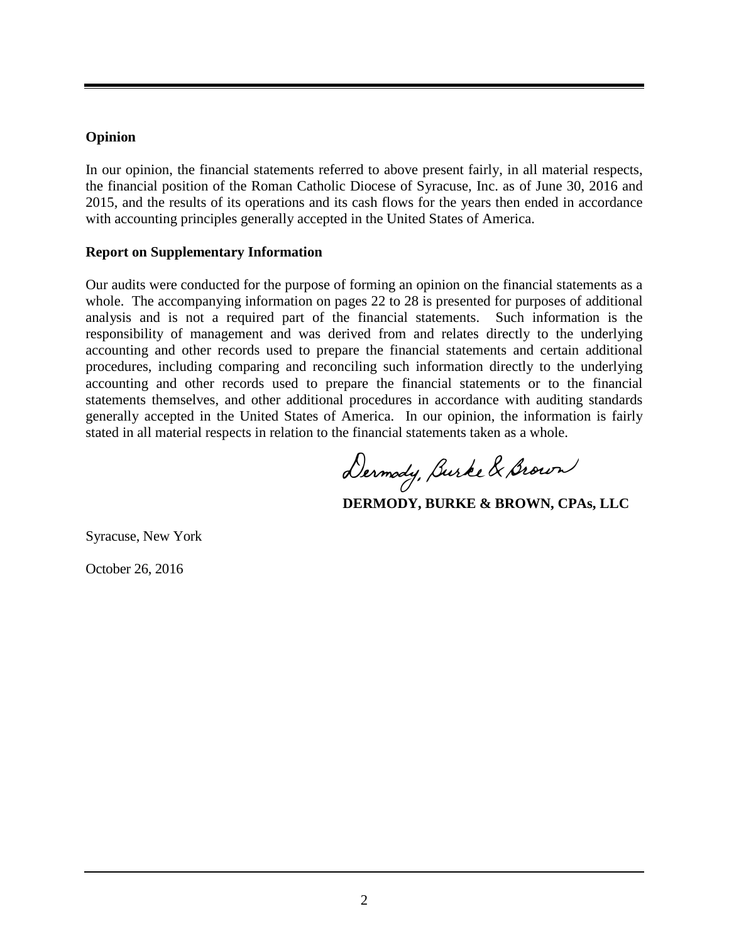#### **Opinion**

In our opinion, the financial statements referred to above present fairly, in all material respects, the financial position of the Roman Catholic Diocese of Syracuse, Inc. as of June 30, 2016 and 2015, and the results of its operations and its cash flows for the years then ended in accordance with accounting principles generally accepted in the United States of America.

#### **Report on Supplementary Information**

Our audits were conducted for the purpose of forming an opinion on the financial statements as a whole. The accompanying information on pages 22 to 28 is presented for purposes of additional analysis and is not a required part of the financial statements. Such information is the responsibility of management and was derived from and relates directly to the underlying accounting and other records used to prepare the financial statements and certain additional procedures, including comparing and reconciling such information directly to the underlying accounting and other records used to prepare the financial statements or to the financial statements themselves, and other additional procedures in accordance with auditing standards generally accepted in the United States of America. In our opinion, the information is fairly stated in all material respects in relation to the financial statements taken as a whole.

Dermody, Burke & Brown

**DERMODY, BURKE & BROWN, CPAs, LLC**

Syracuse, New York

October 26, 2016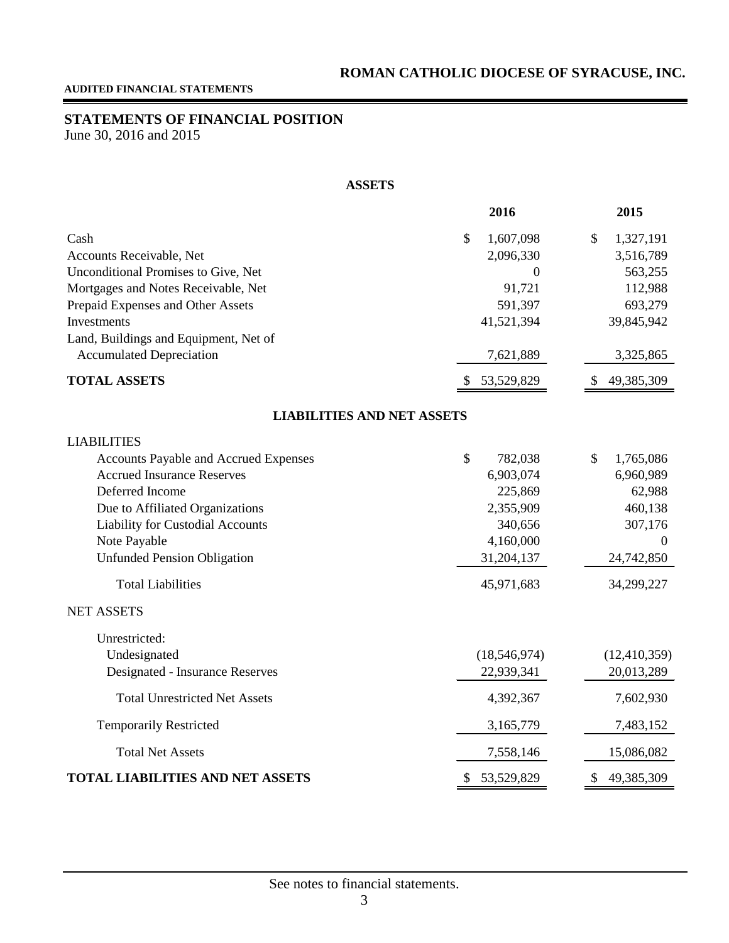## <span id="page-4-1"></span><span id="page-4-0"></span>**STATEMENTS OF FINANCIAL POSITION**

June 30, 2016 and 2015

#### **ASSETS**

|                                         | 2016                     | 2015             |
|-----------------------------------------|--------------------------|------------------|
| Cash                                    | 1,607,098<br>\$          | \$<br>1,327,191  |
| Accounts Receivable, Net                | 2,096,330                | 3,516,789        |
| Unconditional Promises to Give, Net     | $\overline{0}$           | 563,255          |
| Mortgages and Notes Receivable, Net     | 91,721                   | 112,988          |
| Prepaid Expenses and Other Assets       | 591,397                  | 693,279          |
| Investments                             | 41,521,394               | 39,845,942       |
| Land, Buildings and Equipment, Net of   |                          |                  |
| <b>Accumulated Depreciation</b>         | 7,621,889                | 3,325,865        |
| <b>TOTAL ASSETS</b>                     | 53,529,829<br>S          | 49,385,309       |
| <b>LIABILITIES AND NET ASSETS</b>       |                          |                  |
| <b>LIABILITIES</b>                      |                          |                  |
| Accounts Payable and Accrued Expenses   | $\mathcal{S}$<br>782,038 | \$<br>1,765,086  |
| <b>Accrued Insurance Reserves</b>       | 6,903,074                | 6,960,989        |
| Deferred Income                         | 225,869                  | 62,988           |
| Due to Affiliated Organizations         | 2,355,909                | 460,138          |
| Liability for Custodial Accounts        | 340,656                  | 307,176          |
| Note Payable                            | 4,160,000                | $\Omega$         |
| <b>Unfunded Pension Obligation</b>      | 31,204,137               | 24,742,850       |
| <b>Total Liabilities</b>                | 45,971,683               | 34,299,227       |
| <b>NET ASSETS</b>                       |                          |                  |
| Unrestricted:                           |                          |                  |
| Undesignated                            | (18, 546, 974)           | (12, 410, 359)   |
| Designated - Insurance Reserves         | 22,939,341               | 20,013,289       |
| <b>Total Unrestricted Net Assets</b>    | 4,392,367                | 7,602,930        |
| <b>Temporarily Restricted</b>           | 3,165,779                | 7,483,152        |
| <b>Total Net Assets</b>                 | 7,558,146                | 15,086,082       |
| <b>TOTAL LIABILITIES AND NET ASSETS</b> | \$<br>53,529,829         | \$<br>49,385,309 |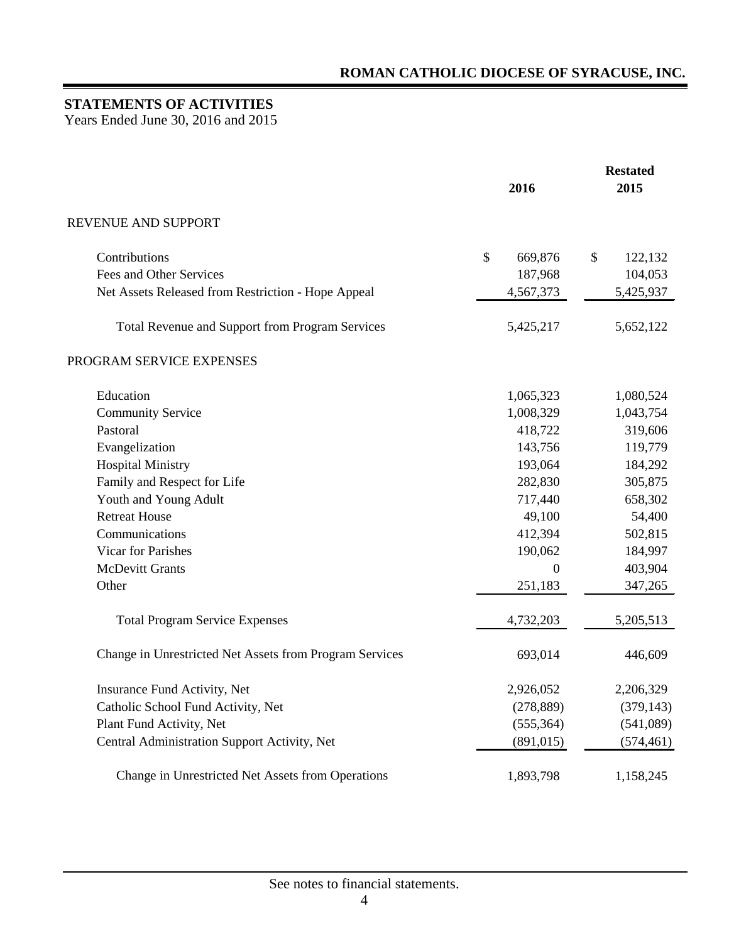## <span id="page-5-0"></span>**STATEMENTS OF ACTIVITIES**

Years Ended June 30, 2016 and 2015

|                                                         | 2016           | <b>Restated</b><br>2015 |
|---------------------------------------------------------|----------------|-------------------------|
| REVENUE AND SUPPORT                                     |                |                         |
| Contributions                                           | \$<br>669,876  | \$<br>122,132           |
| Fees and Other Services                                 | 187,968        | 104,053                 |
| Net Assets Released from Restriction - Hope Appeal      | 4,567,373      | 5,425,937               |
| Total Revenue and Support from Program Services         | 5,425,217      | 5,652,122               |
| PROGRAM SERVICE EXPENSES                                |                |                         |
| Education                                               | 1,065,323      | 1,080,524               |
| <b>Community Service</b>                                | 1,008,329      | 1,043,754               |
| Pastoral                                                | 418,722        | 319,606                 |
| Evangelization                                          | 143,756        | 119,779                 |
| <b>Hospital Ministry</b>                                | 193,064        | 184,292                 |
| Family and Respect for Life                             | 282,830        | 305,875                 |
| Youth and Young Adult                                   | 717,440        | 658,302                 |
| <b>Retreat House</b>                                    | 49,100         | 54,400                  |
| Communications                                          | 412,394        | 502,815                 |
| <b>Vicar for Parishes</b>                               | 190,062        | 184,997                 |
| <b>McDevitt Grants</b>                                  | $\overline{0}$ | 403,904                 |
| Other                                                   | 251,183        | 347,265                 |
| <b>Total Program Service Expenses</b>                   | 4,732,203      | 5,205,513               |
| Change in Unrestricted Net Assets from Program Services | 693,014        | 446,609                 |
| Insurance Fund Activity, Net                            | 2,926,052      | 2,206,329               |
| Catholic School Fund Activity, Net                      | (278, 889)     | (379, 143)              |
| Plant Fund Activity, Net                                | (555, 364)     | (541,089)               |
| Central Administration Support Activity, Net            | (891, 015)     | (574, 461)              |
| Change in Unrestricted Net Assets from Operations       | 1,893,798      | 1,158,245               |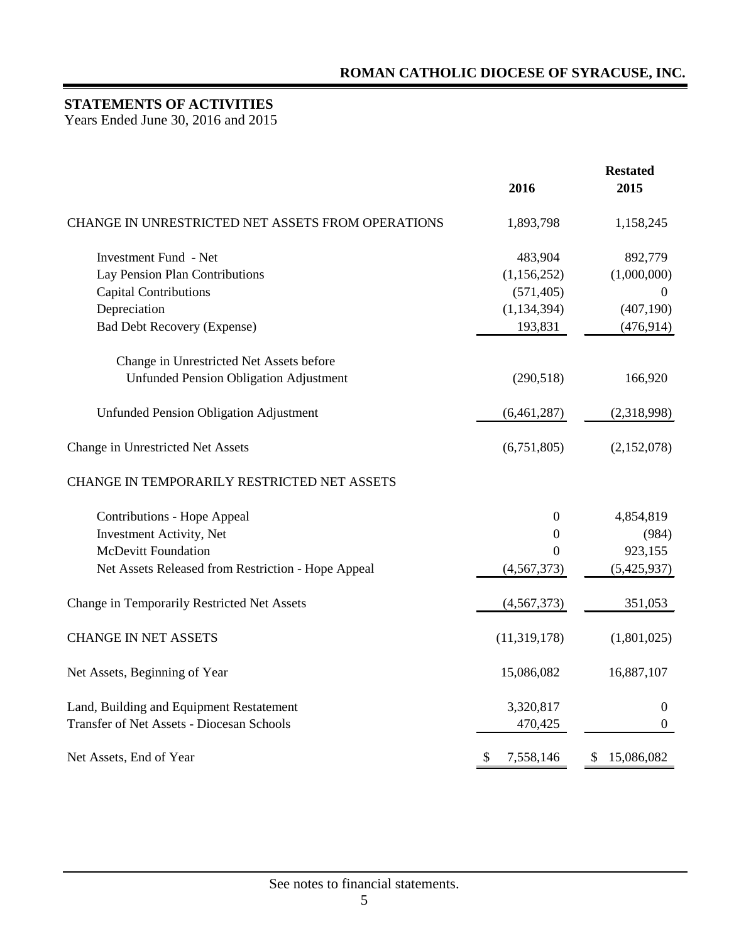## **STATEMENTS OF ACTIVITIES**

Years Ended June 30, 2016 and 2015

|                                                    | 2016             | <b>Restated</b><br>2015 |
|----------------------------------------------------|------------------|-------------------------|
| CHANGE IN UNRESTRICTED NET ASSETS FROM OPERATIONS  | 1,893,798        | 1,158,245               |
| <b>Investment Fund - Net</b>                       | 483,904          | 892,779                 |
| Lay Pension Plan Contributions                     | (1,156,252)      | (1,000,000)             |
| <b>Capital Contributions</b>                       | (571, 405)       | $\overline{0}$          |
| Depreciation                                       | (1, 134, 394)    | (407, 190)              |
| <b>Bad Debt Recovery (Expense)</b>                 | 193,831          | (476, 914)              |
| Change in Unrestricted Net Assets before           |                  |                         |
| <b>Unfunded Pension Obligation Adjustment</b>      | (290,518)        | 166,920                 |
| <b>Unfunded Pension Obligation Adjustment</b>      | (6,461,287)      | (2,318,998)             |
| Change in Unrestricted Net Assets                  | (6,751,805)      | (2,152,078)             |
| CHANGE IN TEMPORARILY RESTRICTED NET ASSETS        |                  |                         |
| <b>Contributions - Hope Appeal</b>                 | $\boldsymbol{0}$ | 4,854,819               |
| Investment Activity, Net                           | 0                | (984)                   |
| <b>McDevitt Foundation</b>                         | $\theta$         | 923,155                 |
| Net Assets Released from Restriction - Hope Appeal | (4, 567, 373)    | (5,425,937)             |
| Change in Temporarily Restricted Net Assets        | (4,567,373)      | 351,053                 |
| <b>CHANGE IN NET ASSETS</b>                        | (11,319,178)     | (1,801,025)             |
| Net Assets, Beginning of Year                      | 15,086,082       | 16,887,107              |
| Land, Building and Equipment Restatement           | 3,320,817        | $\boldsymbol{0}$        |
| <b>Transfer of Net Assets - Diocesan Schools</b>   | 470,425          | $\boldsymbol{0}$        |
| Net Assets, End of Year                            | 7,558,146<br>\$  | 15,086,082<br>\$        |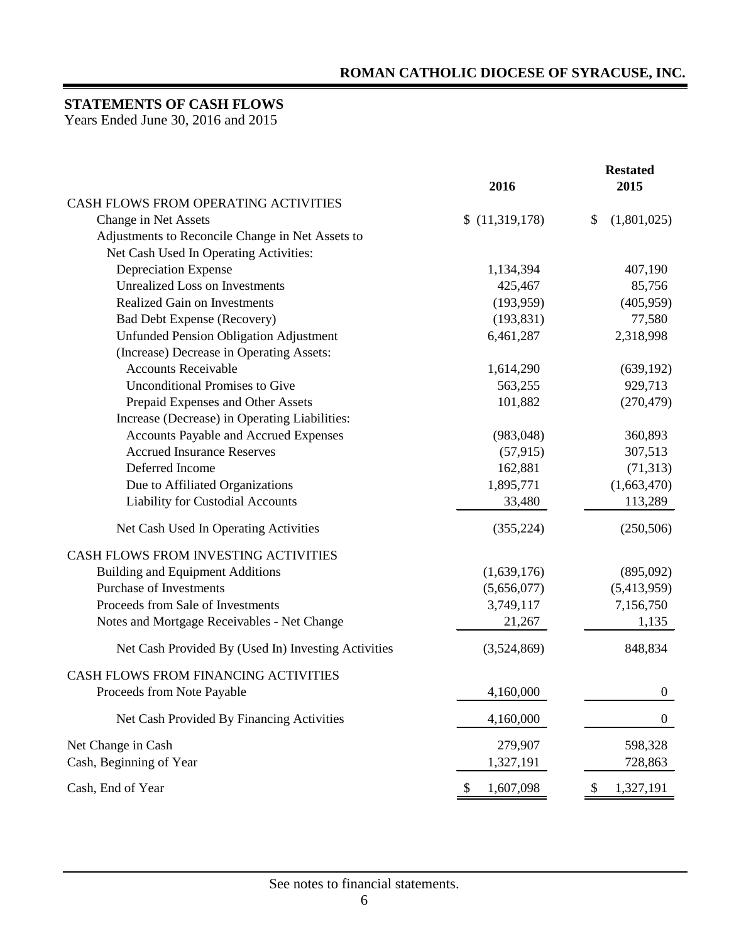## <span id="page-7-0"></span>**STATEMENTS OF CASH FLOWS**

Years Ended June 30, 2016 and 2015

|                                                     |                 | <b>Restated</b>   |
|-----------------------------------------------------|-----------------|-------------------|
| CASH FLOWS FROM OPERATING ACTIVITIES                | 2016            | 2015              |
| Change in Net Assets                                | \$(11,319,178)  | (1,801,025)<br>\$ |
| Adjustments to Reconcile Change in Net Assets to    |                 |                   |
| Net Cash Used In Operating Activities:              |                 |                   |
| Depreciation Expense                                | 1,134,394       | 407,190           |
| <b>Unrealized Loss on Investments</b>               | 425,467         | 85,756            |
| <b>Realized Gain on Investments</b>                 | (193,959)       | (405, 959)        |
| <b>Bad Debt Expense (Recovery)</b>                  | (193, 831)      | 77,580            |
| <b>Unfunded Pension Obligation Adjustment</b>       | 6,461,287       | 2,318,998         |
| (Increase) Decrease in Operating Assets:            |                 |                   |
| <b>Accounts Receivable</b>                          | 1,614,290       | (639, 192)        |
| <b>Unconditional Promises to Give</b>               | 563,255         | 929,713           |
| Prepaid Expenses and Other Assets                   | 101,882         | (270, 479)        |
| Increase (Decrease) in Operating Liabilities:       |                 |                   |
| Accounts Payable and Accrued Expenses               | (983, 048)      | 360,893           |
| <b>Accrued Insurance Reserves</b>                   | (57, 915)       | 307,513           |
| Deferred Income                                     | 162,881         | (71, 313)         |
| Due to Affiliated Organizations                     | 1,895,771       | (1,663,470)       |
| Liability for Custodial Accounts                    | 33,480          | 113,289           |
| Net Cash Used In Operating Activities               | (355, 224)      | (250, 506)        |
| CASH FLOWS FROM INVESTING ACTIVITIES                |                 |                   |
| <b>Building and Equipment Additions</b>             | (1,639,176)     | (895,092)         |
| <b>Purchase of Investments</b>                      | (5,656,077)     | (5,413,959)       |
| Proceeds from Sale of Investments                   | 3,749,117       | 7,156,750         |
| Notes and Mortgage Receivables - Net Change         | 21,267          | 1,135             |
| Net Cash Provided By (Used In) Investing Activities | (3,524,869)     | 848,834           |
| CASH FLOWS FROM FINANCING ACTIVITIES                |                 |                   |
| Proceeds from Note Payable                          | 4,160,000       | $\boldsymbol{0}$  |
| Net Cash Provided By Financing Activities           | 4,160,000       | $\boldsymbol{0}$  |
| Net Change in Cash                                  | 279,907         | 598,328           |
| Cash, Beginning of Year                             | 1,327,191       | 728,863           |
| Cash, End of Year                                   | 1,607,098<br>S. | 1,327,191<br>P.   |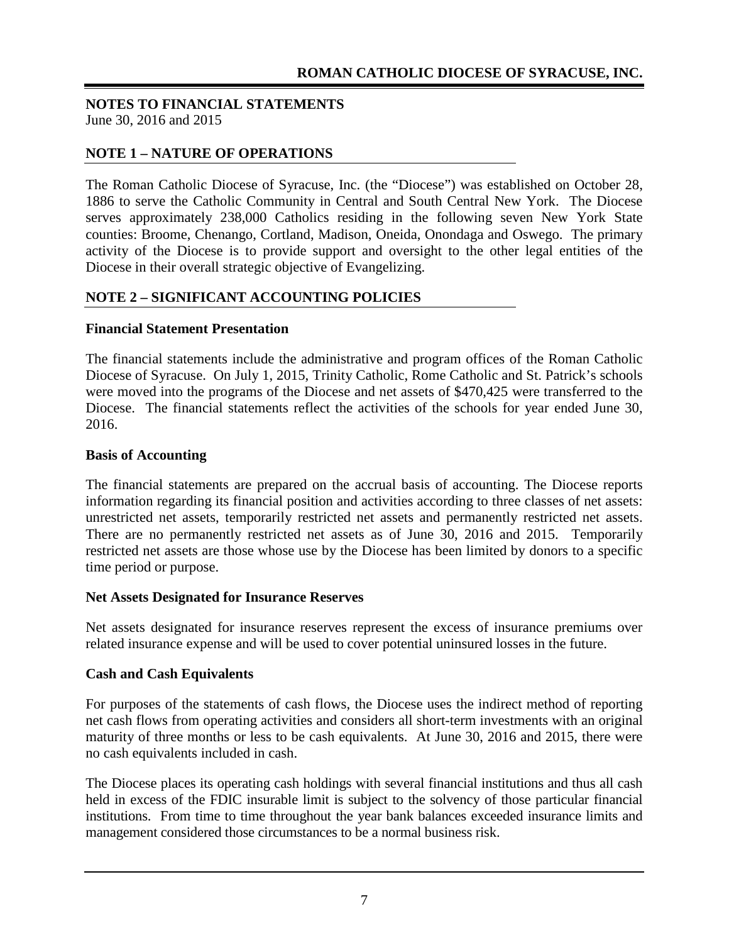## <span id="page-8-0"></span>**NOTE 1 – NATURE OF OPERATIONS**

The Roman Catholic Diocese of Syracuse, Inc. (the "Diocese") was established on October 28, 1886 to serve the Catholic Community in Central and South Central New York. The Diocese serves approximately 238,000 Catholics residing in the following seven New York State counties: Broome, Chenango, Cortland, Madison, Oneida, Onondaga and Oswego. The primary activity of the Diocese is to provide support and oversight to the other legal entities of the Diocese in their overall strategic objective of Evangelizing.

#### **NOTE 2 – SIGNIFICANT ACCOUNTING POLICIES**

#### **Financial Statement Presentation**

The financial statements include the administrative and program offices of the Roman Catholic Diocese of Syracuse. On July 1, 2015, Trinity Catholic, Rome Catholic and St. Patrick's schools were moved into the programs of the Diocese and net assets of \$470,425 were transferred to the Diocese. The financial statements reflect the activities of the schools for year ended June 30, 2016.

#### **Basis of Accounting**

The financial statements are prepared on the accrual basis of accounting. The Diocese reports information regarding its financial position and activities according to three classes of net assets: unrestricted net assets, temporarily restricted net assets and permanently restricted net assets. There are no permanently restricted net assets as of June 30, 2016 and 2015. Temporarily restricted net assets are those whose use by the Diocese has been limited by donors to a specific time period or purpose.

#### **Net Assets Designated for Insurance Reserves**

Net assets designated for insurance reserves represent the excess of insurance premiums over related insurance expense and will be used to cover potential uninsured losses in the future.

#### **Cash and Cash Equivalents**

For purposes of the statements of cash flows, the Diocese uses the indirect method of reporting net cash flows from operating activities and considers all short-term investments with an original maturity of three months or less to be cash equivalents. At June 30, 2016 and 2015, there were no cash equivalents included in cash.

The Diocese places its operating cash holdings with several financial institutions and thus all cash held in excess of the FDIC insurable limit is subject to the solvency of those particular financial institutions. From time to time throughout the year bank balances exceeded insurance limits and management considered those circumstances to be a normal business risk.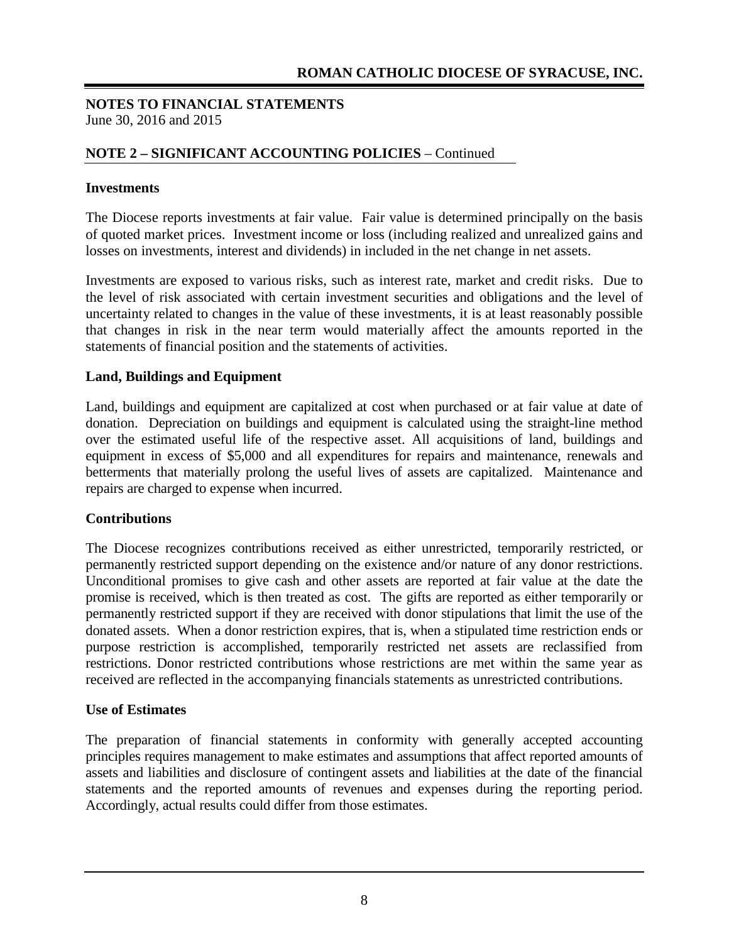## **NOTE 2 – SIGNIFICANT ACCOUNTING POLICIES** – Continued

#### **Investments**

The Diocese reports investments at fair value. Fair value is determined principally on the basis of quoted market prices. Investment income or loss (including realized and unrealized gains and losses on investments, interest and dividends) in included in the net change in net assets.

Investments are exposed to various risks, such as interest rate, market and credit risks. Due to the level of risk associated with certain investment securities and obligations and the level of uncertainty related to changes in the value of these investments, it is at least reasonably possible that changes in risk in the near term would materially affect the amounts reported in the statements of financial position and the statements of activities.

#### **Land, Buildings and Equipment**

Land, buildings and equipment are capitalized at cost when purchased or at fair value at date of donation. Depreciation on buildings and equipment is calculated using the straight-line method over the estimated useful life of the respective asset. All acquisitions of land, buildings and equipment in excess of \$5,000 and all expenditures for repairs and maintenance, renewals and betterments that materially prolong the useful lives of assets are capitalized. Maintenance and repairs are charged to expense when incurred.

#### **Contributions**

The Diocese recognizes contributions received as either unrestricted, temporarily restricted, or permanently restricted support depending on the existence and/or nature of any donor restrictions. Unconditional promises to give cash and other assets are reported at fair value at the date the promise is received, which is then treated as cost. The gifts are reported as either temporarily or permanently restricted support if they are received with donor stipulations that limit the use of the donated assets. When a donor restriction expires, that is, when a stipulated time restriction ends or purpose restriction is accomplished, temporarily restricted net assets are reclassified from restrictions. Donor restricted contributions whose restrictions are met within the same year as received are reflected in the accompanying financials statements as unrestricted contributions.

#### **Use of Estimates**

The preparation of financial statements in conformity with generally accepted accounting principles requires management to make estimates and assumptions that affect reported amounts of assets and liabilities and disclosure of contingent assets and liabilities at the date of the financial statements and the reported amounts of revenues and expenses during the reporting period. Accordingly, actual results could differ from those estimates.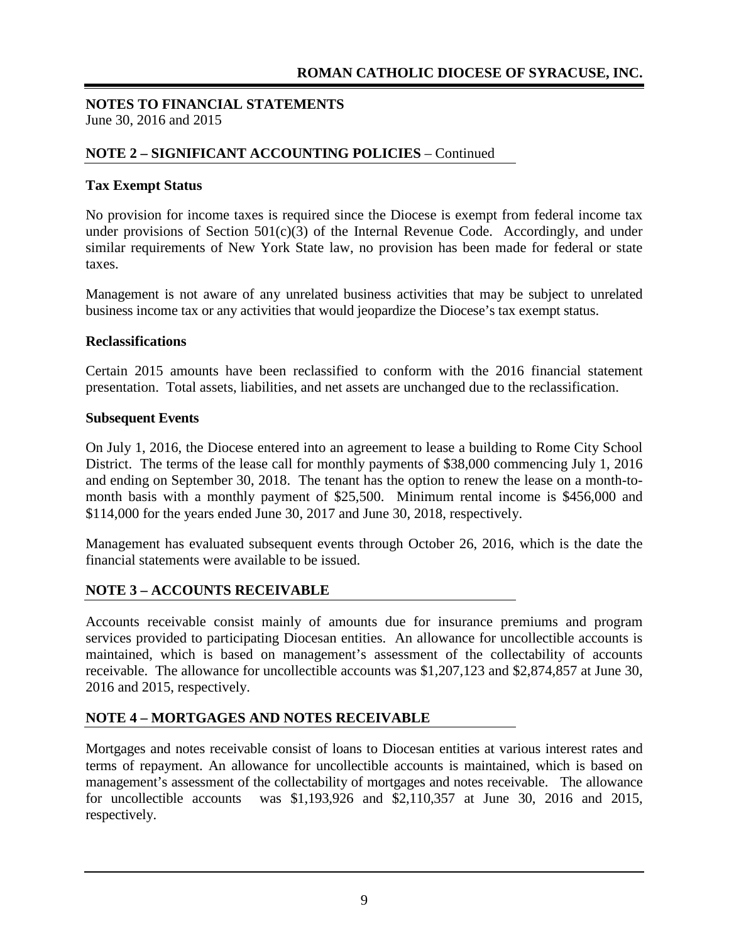#### **NOTE 2 – SIGNIFICANT ACCOUNTING POLICIES** – Continued

#### **Tax Exempt Status**

No provision for income taxes is required since the Diocese is exempt from federal income tax under provisions of Section  $501(c)(3)$  of the Internal Revenue Code. Accordingly, and under similar requirements of New York State law, no provision has been made for federal or state taxes.

Management is not aware of any unrelated business activities that may be subject to unrelated business income tax or any activities that would jeopardize the Diocese's tax exempt status.

#### **Reclassifications**

Certain 2015 amounts have been reclassified to conform with the 2016 financial statement presentation. Total assets, liabilities, and net assets are unchanged due to the reclassification.

#### **Subsequent Events**

On July 1, 2016, the Diocese entered into an agreement to lease a building to Rome City School District. The terms of the lease call for monthly payments of \$38,000 commencing July 1, 2016 and ending on September 30, 2018. The tenant has the option to renew the lease on a month-tomonth basis with a monthly payment of \$25,500. Minimum rental income is \$456,000 and \$114,000 for the years ended June 30, 2017 and June 30, 2018, respectively.

Management has evaluated subsequent events through October 26, 2016, which is the date the financial statements were available to be issued.

#### **NOTE 3 – ACCOUNTS RECEIVABLE**

Accounts receivable consist mainly of amounts due for insurance premiums and program services provided to participating Diocesan entities. An allowance for uncollectible accounts is maintained, which is based on management's assessment of the collectability of accounts receivable. The allowance for uncollectible accounts was \$1,207,123 and \$2,874,857 at June 30, 2016 and 2015, respectively.

#### **NOTE 4 – MORTGAGES AND NOTES RECEIVABLE**

Mortgages and notes receivable consist of loans to Diocesan entities at various interest rates and terms of repayment. An allowance for uncollectible accounts is maintained, which is based on management's assessment of the collectability of mortgages and notes receivable. The allowance for uncollectible accounts was \$1,193,926 and \$2,110,357 at June 30, 2016 and 2015, respectively.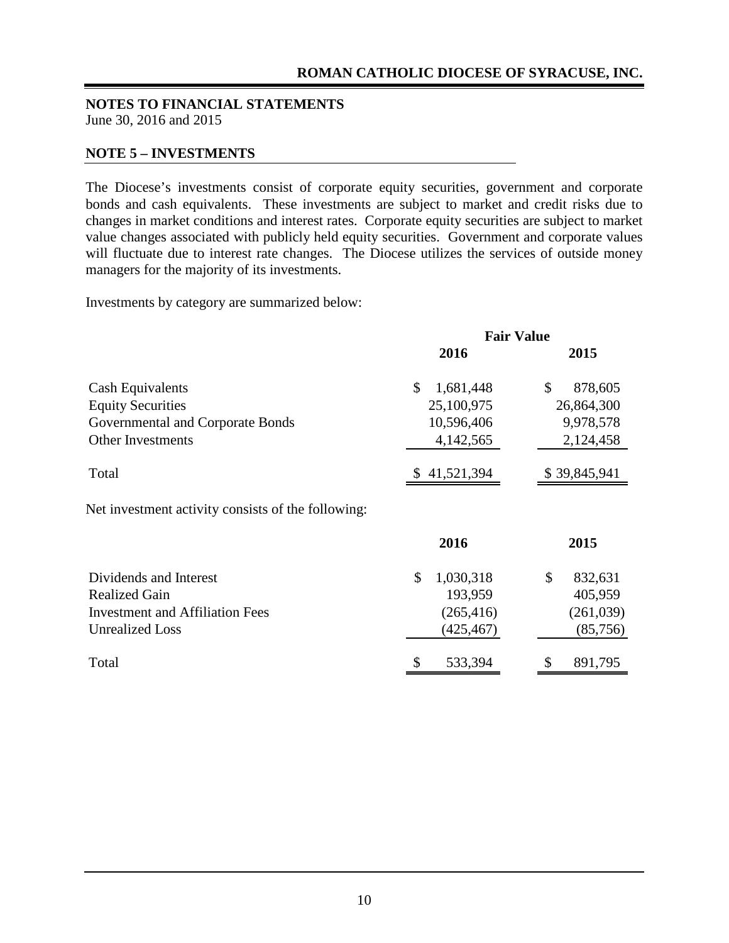#### **NOTE 5 – INVESTMENTS**

The Diocese's investments consist of corporate equity securities, government and corporate bonds and cash equivalents. These investments are subject to market and credit risks due to changes in market conditions and interest rates. Corporate equity securities are subject to market value changes associated with publicly held equity securities. Government and corporate values will fluctuate due to interest rate changes. The Diocese utilizes the services of outside money managers for the majority of its investments.

Investments by category are summarized below:

|                                                    | <b>Fair Value</b>          |                          |  |
|----------------------------------------------------|----------------------------|--------------------------|--|
|                                                    | 2016                       | 2015                     |  |
| Cash Equivalents                                   | $\mathcal{S}$<br>1,681,448 | \$<br>878,605            |  |
| <b>Equity Securities</b>                           | 25,100,975                 | 26,864,300               |  |
| Governmental and Corporate Bonds                   | 10,596,406                 | 9,978,578                |  |
| <b>Other Investments</b>                           | 4,142,565                  | 2,124,458                |  |
| Total                                              | \$41,521,394               | \$39,845,941             |  |
| Net investment activity consists of the following: |                            |                          |  |
|                                                    | 2016                       | 2015                     |  |
| Dividends and Interest                             | \$<br>1,030,318            | $\mathcal{S}$<br>832,631 |  |
| <b>Realized Gain</b>                               | 193,959                    | 405,959                  |  |
| <b>Investment and Affiliation Fees</b>             | (265, 416)                 | (261,039)                |  |
| <b>Unrealized Loss</b>                             | (425, 467)                 | (85, 756)                |  |
| Total                                              | 533,394                    | 891,795                  |  |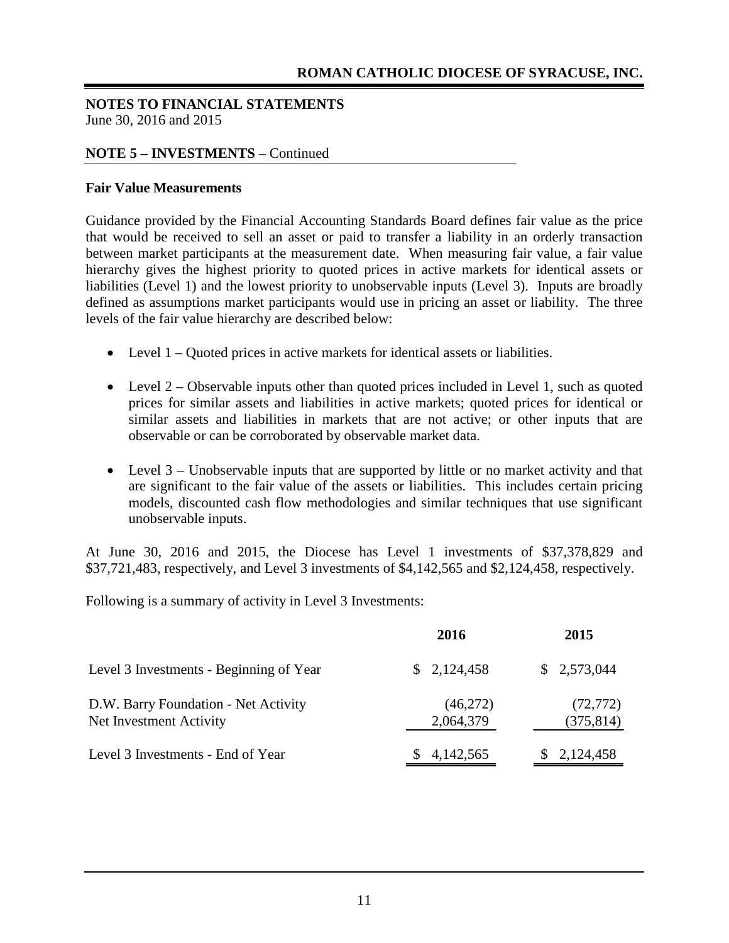#### **NOTE 5 – INVESTMENTS** – Continued

#### **Fair Value Measurements**

Guidance provided by the Financial Accounting Standards Board defines fair value as the price that would be received to sell an asset or paid to transfer a liability in an orderly transaction between market participants at the measurement date. When measuring fair value, a fair value hierarchy gives the highest priority to quoted prices in active markets for identical assets or liabilities (Level 1) and the lowest priority to unobservable inputs (Level 3). Inputs are broadly defined as assumptions market participants would use in pricing an asset or liability. The three levels of the fair value hierarchy are described below:

- Level 1 Quoted prices in active markets for identical assets or liabilities.
- Level 2 Observable inputs other than quoted prices included in Level 1, such as quoted prices for similar assets and liabilities in active markets; quoted prices for identical or similar assets and liabilities in markets that are not active; or other inputs that are observable or can be corroborated by observable market data.
- Level 3 Unobservable inputs that are supported by little or no market activity and that are significant to the fair value of the assets or liabilities. This includes certain pricing models, discounted cash flow methodologies and similar techniques that use significant unobservable inputs.

At June 30, 2016 and 2015, the Diocese has Level 1 investments of \$37,378,829 and \$37,721,483, respectively, and Level 3 investments of \$4,142,565 and \$2,124,458, respectively.

Following is a summary of activity in Level 3 Investments:

|                                                                 | 2016                  | 2015                    |
|-----------------------------------------------------------------|-----------------------|-------------------------|
| Level 3 Investments - Beginning of Year                         | \$2,124,458           | \$2,573,044             |
| D.W. Barry Foundation - Net Activity<br>Net Investment Activity | (46,272)<br>2,064,379 | (72, 772)<br>(375, 814) |
| Level 3 Investments - End of Year                               | 4,142,565             | 2,124,458               |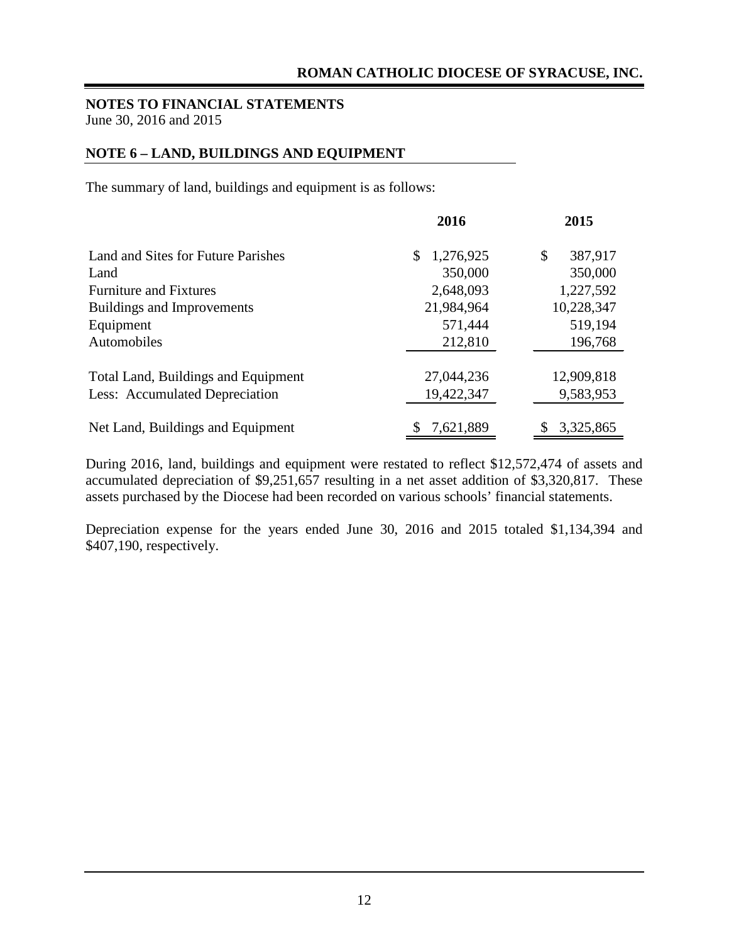#### **NOTE 6 – LAND, BUILDINGS AND EQUIPMENT**

The summary of land, buildings and equipment is as follows:

|                                     | 2016            | 2015             |
|-------------------------------------|-----------------|------------------|
| Land and Sites for Future Parishes  | 1,276,925<br>\$ | 387,917<br>\$    |
| Land                                | 350,000         | 350,000          |
| <b>Furniture and Fixtures</b>       | 2,648,093       | 1,227,592        |
| Buildings and Improvements          | 21,984,964      | 10,228,347       |
| Equipment                           | 571,444         | 519,194          |
| Automobiles                         | 212,810         | 196,768          |
| Total Land, Buildings and Equipment | 27,044,236      | 12,909,818       |
| Less: Accumulated Depreciation      | 19,422,347      | 9,583,953        |
| Net Land, Buildings and Equipment   | 7,621,889       | 3,325,865<br>\$. |

During 2016, land, buildings and equipment were restated to reflect \$12,572,474 of assets and accumulated depreciation of \$9,251,657 resulting in a net asset addition of \$3,320,817. These assets purchased by the Diocese had been recorded on various schools' financial statements.

Depreciation expense for the years ended June 30, 2016 and 2015 totaled \$1,134,394 and \$407,190, respectively.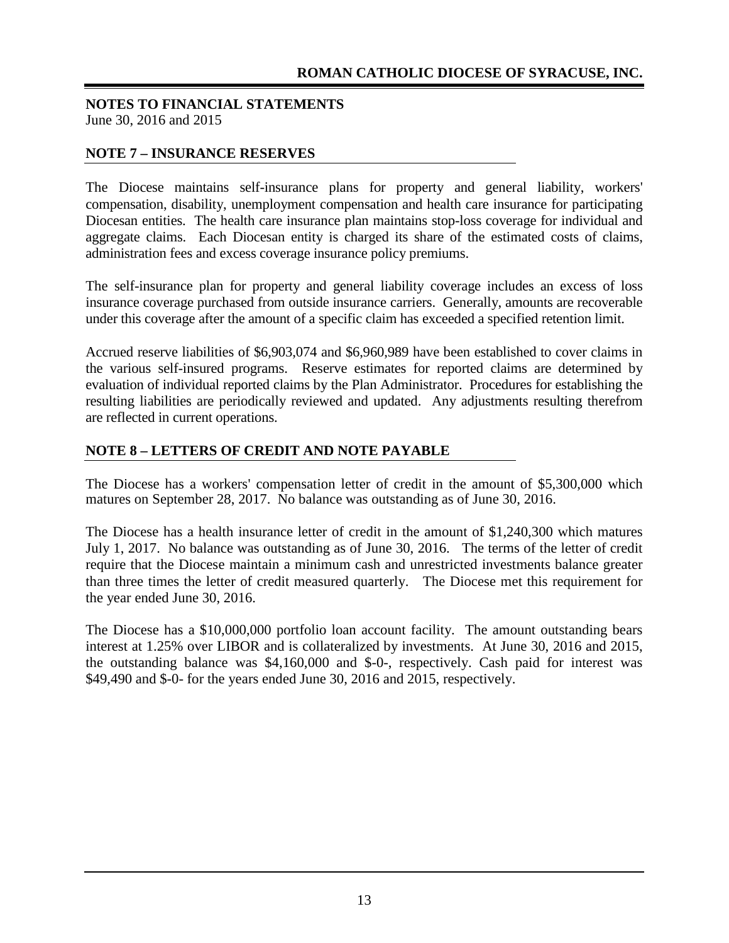#### **NOTE 7 – INSURANCE RESERVES**

The Diocese maintains self-insurance plans for property and general liability, workers' compensation, disability, unemployment compensation and health care insurance for participating Diocesan entities. The health care insurance plan maintains stop-loss coverage for individual and aggregate claims. Each Diocesan entity is charged its share of the estimated costs of claims, administration fees and excess coverage insurance policy premiums.

The self-insurance plan for property and general liability coverage includes an excess of loss insurance coverage purchased from outside insurance carriers. Generally, amounts are recoverable under this coverage after the amount of a specific claim has exceeded a specified retention limit.

Accrued reserve liabilities of \$6,903,074 and \$6,960,989 have been established to cover claims in the various self-insured programs. Reserve estimates for reported claims are determined by evaluation of individual reported claims by the Plan Administrator. Procedures for establishing the resulting liabilities are periodically reviewed and updated. Any adjustments resulting therefrom are reflected in current operations.

#### **NOTE 8 – LETTERS OF CREDIT AND NOTE PAYABLE**

The Diocese has a workers' compensation letter of credit in the amount of \$5,300,000 which matures on September 28, 2017. No balance was outstanding as of June 30, 2016.

The Diocese has a health insurance letter of credit in the amount of \$1,240,300 which matures July 1, 2017. No balance was outstanding as of June 30, 2016. The terms of the letter of credit require that the Diocese maintain a minimum cash and unrestricted investments balance greater than three times the letter of credit measured quarterly. The Diocese met this requirement for the year ended June 30, 2016.

The Diocese has a \$10,000,000 portfolio loan account facility. The amount outstanding bears interest at 1.25% over LIBOR and is collateralized by investments. At June 30, 2016 and 2015, the outstanding balance was \$4,160,000 and \$-0-, respectively. Cash paid for interest was \$49,490 and \$-0- for the years ended June 30, 2016 and 2015, respectively.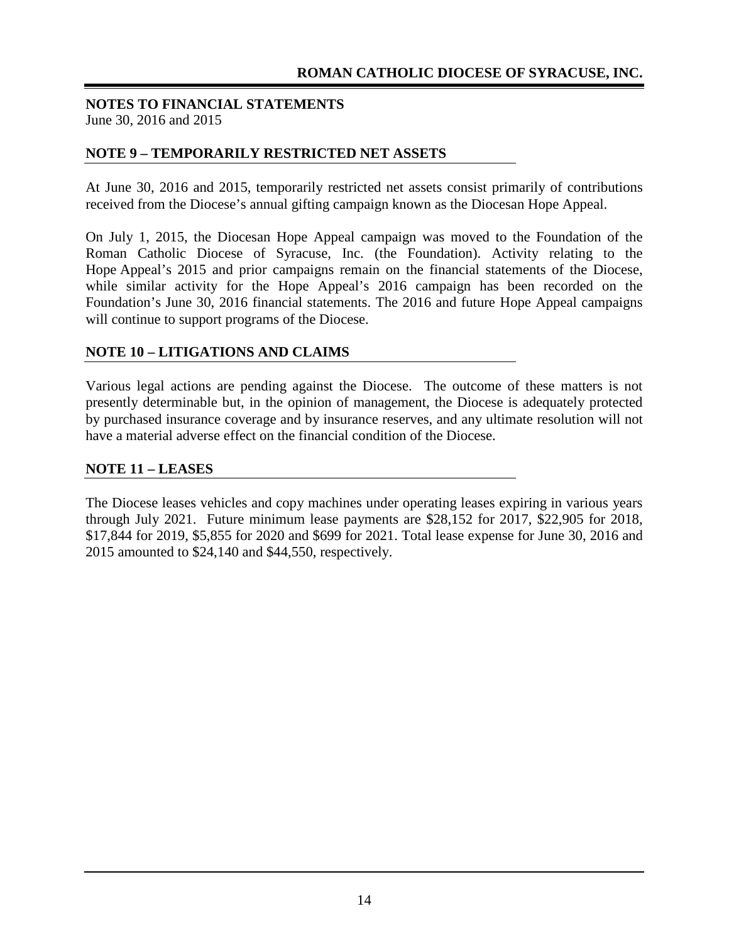#### **NOTE 9 – TEMPORARILY RESTRICTED NET ASSETS**

At June 30, 2016 and 2015, temporarily restricted net assets consist primarily of contributions received from the Diocese's annual gifting campaign known as the Diocesan Hope Appeal.

On July 1, 2015, the Diocesan Hope Appeal campaign was moved to the Foundation of the Roman Catholic Diocese of Syracuse, Inc. (the Foundation). Activity relating to the Hope Appeal's 2015 and prior campaigns remain on the financial statements of the Diocese, while similar activity for the Hope Appeal's 2016 campaign has been recorded on the Foundation's June 30, 2016 financial statements. The 2016 and future Hope Appeal campaigns will continue to support programs of the Diocese.

#### **NOTE 10 – LITIGATIONS AND CLAIMS**

Various legal actions are pending against the Diocese. The outcome of these matters is not presently determinable but, in the opinion of management, the Diocese is adequately protected by purchased insurance coverage and by insurance reserves, and any ultimate resolution will not have a material adverse effect on the financial condition of the Diocese.

#### **NOTE 11 – LEASES**

The Diocese leases vehicles and copy machines under operating leases expiring in various years through July 2021. Future minimum lease payments are \$28,152 for 2017, \$22,905 for 2018, \$17,844 for 2019, \$5,855 for 2020 and \$699 for 2021. Total lease expense for June 30, 2016 and 2015 amounted to \$24,140 and \$44,550, respectively.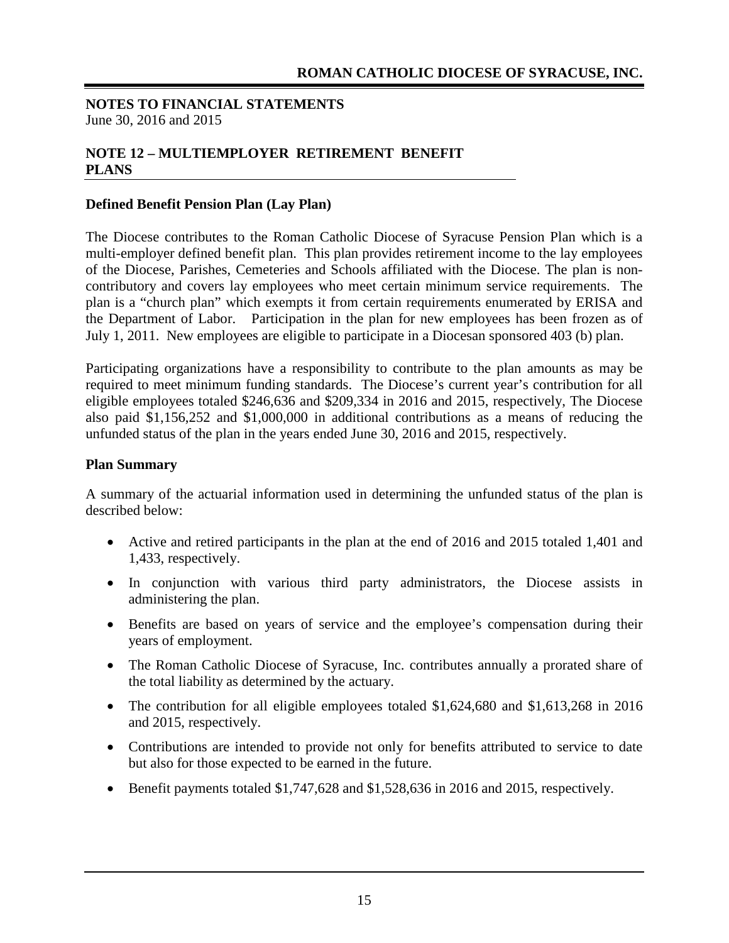#### **NOTE 12 – MULTIEMPLOYER RETIREMENT BENEFIT PLANS**

#### **Defined Benefit Pension Plan (Lay Plan)**

The Diocese contributes to the Roman Catholic Diocese of Syracuse Pension Plan which is a multi-employer defined benefit plan. This plan provides retirement income to the lay employees of the Diocese, Parishes, Cemeteries and Schools affiliated with the Diocese. The plan is noncontributory and covers lay employees who meet certain minimum service requirements. The plan is a "church plan" which exempts it from certain requirements enumerated by ERISA and the Department of Labor. Participation in the plan for new employees has been frozen as of July 1, 2011. New employees are eligible to participate in a Diocesan sponsored 403 (b) plan.

Participating organizations have a responsibility to contribute to the plan amounts as may be required to meet minimum funding standards. The Diocese's current year's contribution for all eligible employees totaled \$246,636 and \$209,334 in 2016 and 2015, respectively, The Diocese also paid \$1,156,252 and \$1,000,000 in additional contributions as a means of reducing the unfunded status of the plan in the years ended June 30, 2016 and 2015, respectively.

#### **Plan Summary**

A summary of the actuarial information used in determining the unfunded status of the plan is described below:

- Active and retired participants in the plan at the end of 2016 and 2015 totaled 1,401 and 1,433, respectively.
- In conjunction with various third party administrators, the Diocese assists in administering the plan.
- Benefits are based on years of service and the employee's compensation during their years of employment.
- The Roman Catholic Diocese of Syracuse, Inc. contributes annually a prorated share of the total liability as determined by the actuary.
- The contribution for all eligible employees totaled \$1,624,680 and \$1,613,268 in 2016 and 2015, respectively.
- Contributions are intended to provide not only for benefits attributed to service to date but also for those expected to be earned in the future.
- Benefit payments totaled \$1,747,628 and \$1,528,636 in 2016 and 2015, respectively.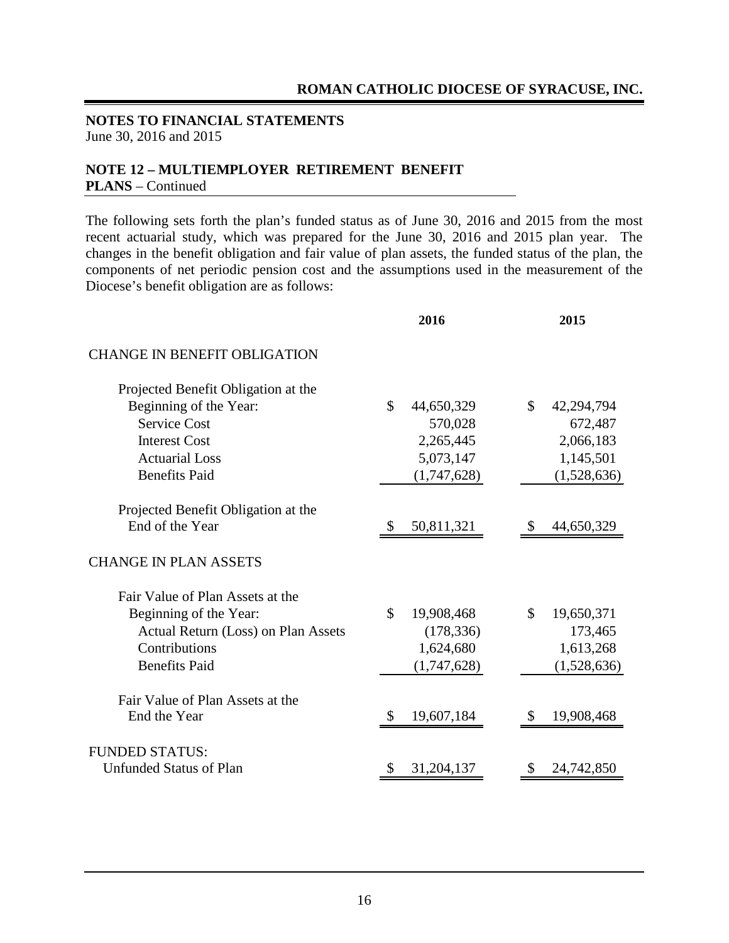#### **NOTE 12 – MULTIEMPLOYER RETIREMENT BENEFIT PLANS** – Continued

The following sets forth the plan's funded status as of June 30, 2016 and 2015 from the most recent actuarial study, which was prepared for the June 30, 2016 and 2015 plan year. The changes in the benefit obligation and fair value of plan assets, the funded status of the plan, the components of net periodic pension cost and the assumptions used in the measurement of the Diocese's benefit obligation are as follows:

|                                     | 2016                        | 2015             |
|-------------------------------------|-----------------------------|------------------|
| <b>CHANGE IN BENEFIT OBLIGATION</b> |                             |                  |
| Projected Benefit Obligation at the |                             |                  |
| Beginning of the Year:              | $\mathsf{\$}$<br>44,650,329 | \$<br>42,294,794 |
| <b>Service Cost</b>                 | 570,028                     | 672,487          |
| <b>Interest Cost</b>                | 2,265,445                   | 2,066,183        |
| <b>Actuarial Loss</b>               | 5,073,147                   | 1,145,501        |
| <b>Benefits Paid</b>                | (1,747,628)                 | (1,528,636)      |
| Projected Benefit Obligation at the |                             |                  |
| End of the Year                     | 50,811,321<br><sup>S</sup>  | 44,650,329       |
| <b>CHANGE IN PLAN ASSETS</b>        |                             |                  |
| Fair Value of Plan Assets at the    |                             |                  |
| Beginning of the Year:              | $\mathcal{S}$<br>19,908,468 | \$<br>19,650,371 |
| Actual Return (Loss) on Plan Assets | (178, 336)                  | 173,465          |
| Contributions                       | 1,624,680                   | 1,613,268        |
| <b>Benefits Paid</b>                | (1,747,628)                 | (1,528,636)      |
| Fair Value of Plan Assets at the    |                             |                  |
| End the Year                        | 19,607,184<br><sup>S</sup>  | 19,908,468       |
| <b>FUNDED STATUS:</b>               |                             |                  |
| <b>Unfunded Status of Plan</b>      | 31,204,137<br>S             | 24,742,850       |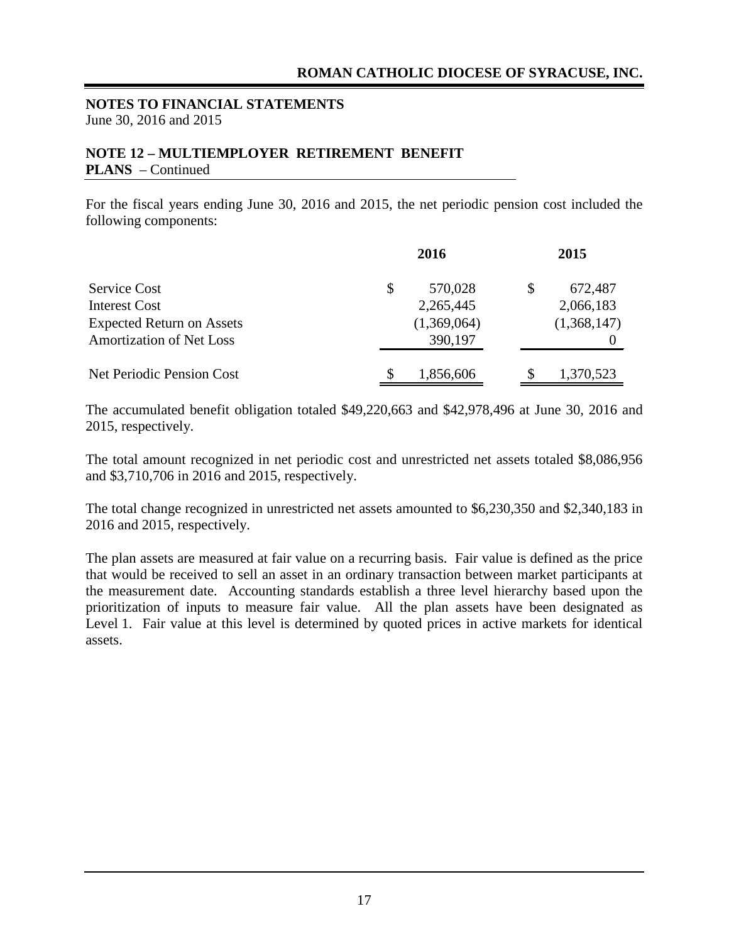#### **NOTE 12 – MULTIEMPLOYER RETIREMENT BENEFIT PLANS** – Continued

For the fiscal years ending June 30, 2016 and 2015, the net periodic pension cost included the following components:

|                                  |    | 2016        | 2015            |
|----------------------------------|----|-------------|-----------------|
| <b>Service Cost</b>              | \$ | 570,028     | \$<br>672,487   |
| <b>Interest Cost</b>             |    | 2,265,445   | 2,066,183       |
| <b>Expected Return on Assets</b> |    | (1,369,064) | (1,368,147)     |
| <b>Amortization of Net Loss</b>  |    | 390,197     |                 |
| Net Periodic Pension Cost        | S  | 1,856,606   | \$<br>1,370,523 |

The accumulated benefit obligation totaled \$49,220,663 and \$42,978,496 at June 30, 2016 and 2015, respectively.

The total amount recognized in net periodic cost and unrestricted net assets totaled \$8,086,956 and \$3,710,706 in 2016 and 2015, respectively.

The total change recognized in unrestricted net assets amounted to \$6,230,350 and \$2,340,183 in 2016 and 2015, respectively.

The plan assets are measured at fair value on a recurring basis. Fair value is defined as the price that would be received to sell an asset in an ordinary transaction between market participants at the measurement date. Accounting standards establish a three level hierarchy based upon the prioritization of inputs to measure fair value. All the plan assets have been designated as Level 1. Fair value at this level is determined by quoted prices in active markets for identical assets.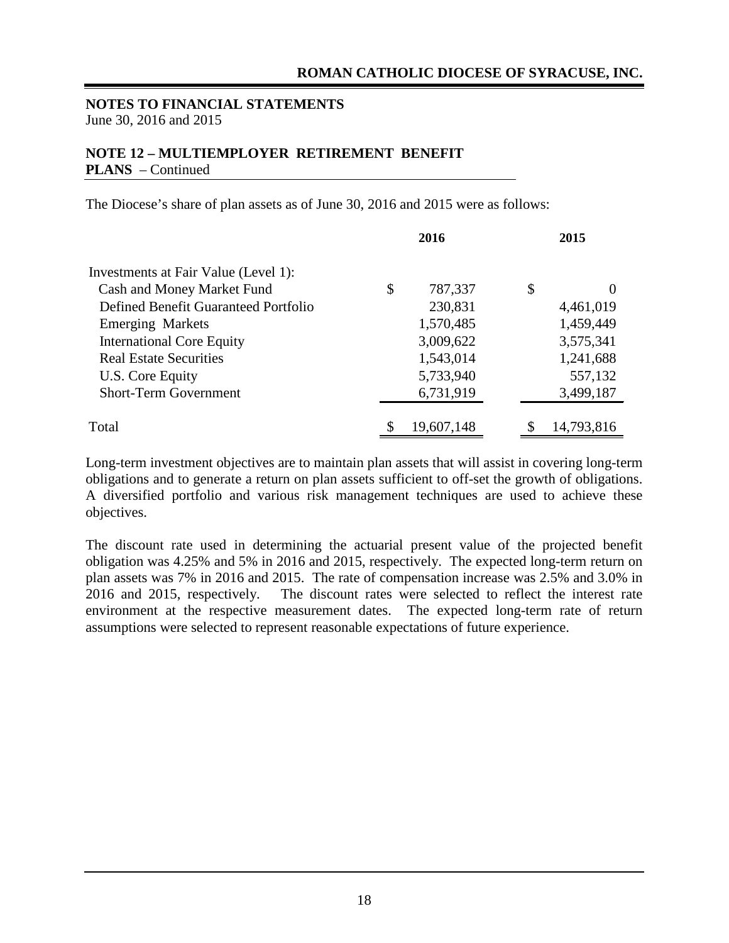#### **NOTE 12 – MULTIEMPLOYER RETIREMENT BENEFIT PLANS** – Continued

The Diocese's share of plan assets as of June 30, 2016 and 2015 were as follows:

|                                      | 2016             | 2015             |
|--------------------------------------|------------------|------------------|
| Investments at Fair Value (Level 1): |                  |                  |
| Cash and Money Market Fund           | \$<br>787,337    | \$<br>$\theta$   |
| Defined Benefit Guaranteed Portfolio | 230,831          | 4,461,019        |
| <b>Emerging Markets</b>              | 1,570,485        | 1,459,449        |
| <b>International Core Equity</b>     | 3,009,622        | 3,575,341        |
| <b>Real Estate Securities</b>        | 1,543,014        | 1,241,688        |
| U.S. Core Equity                     | 5,733,940        | 557,132          |
| <b>Short-Term Government</b>         | 6,731,919        | 3,499,187        |
| Total                                | \$<br>19,607,148 | \$<br>14,793,816 |

Long-term investment objectives are to maintain plan assets that will assist in covering long-term obligations and to generate a return on plan assets sufficient to off-set the growth of obligations. A diversified portfolio and various risk management techniques are used to achieve these objectives.

The discount rate used in determining the actuarial present value of the projected benefit obligation was 4.25% and 5% in 2016 and 2015, respectively. The expected long-term return on plan assets was 7% in 2016 and 2015. The rate of compensation increase was 2.5% and 3.0% in 2016 and 2015, respectively. The discount rates were selected to reflect the interest rate environment at the respective measurement dates. The expected long-term rate of return assumptions were selected to represent reasonable expectations of future experience.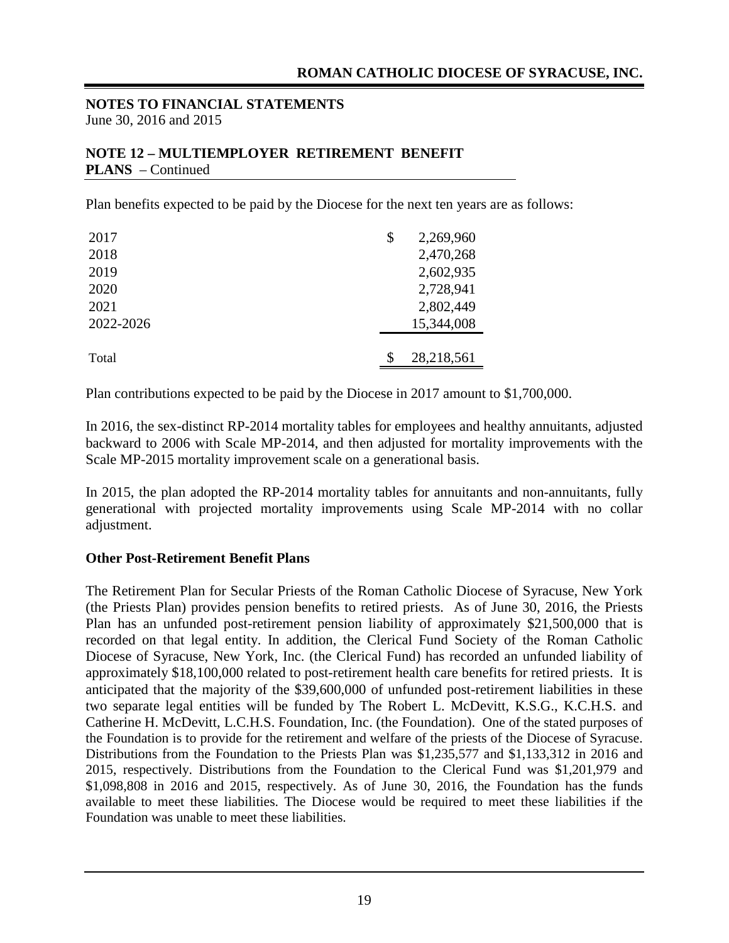#### **NOTE 12 – MULTIEMPLOYER RETIREMENT BENEFIT PLANS** – Continued

Plan benefits expected to be paid by the Diocese for the next ten years are as follows:

| 2017      | \$<br>2,269,960 |
|-----------|-----------------|
| 2018      | 2,470,268       |
| 2019      | 2,602,935       |
| 2020      | 2,728,941       |
| 2021      | 2,802,449       |
| 2022-2026 | 15,344,008      |
|           |                 |
| Total     | 28,218,561      |

Plan contributions expected to be paid by the Diocese in 2017 amount to \$1,700,000.

In 2016, the sex-distinct RP-2014 mortality tables for employees and healthy annuitants, adjusted backward to 2006 with Scale MP-2014, and then adjusted for mortality improvements with the Scale MP-2015 mortality improvement scale on a generational basis.

In 2015, the plan adopted the RP-2014 mortality tables for annuitants and non-annuitants, fully generational with projected mortality improvements using Scale MP-2014 with no collar adjustment.

#### **Other Post-Retirement Benefit Plans**

The Retirement Plan for Secular Priests of the Roman Catholic Diocese of Syracuse, New York (the Priests Plan) provides pension benefits to retired priests. As of June 30, 2016, the Priests Plan has an unfunded post-retirement pension liability of approximately \$21,500,000 that is recorded on that legal entity. In addition, the Clerical Fund Society of the Roman Catholic Diocese of Syracuse, New York, Inc. (the Clerical Fund) has recorded an unfunded liability of approximately \$18,100,000 related to post-retirement health care benefits for retired priests. It is anticipated that the majority of the \$39,600,000 of unfunded post-retirement liabilities in these two separate legal entities will be funded by The Robert L. McDevitt, K.S.G., K.C.H.S. and Catherine H. McDevitt, L.C.H.S. Foundation, Inc. (the Foundation). One of the stated purposes of the Foundation is to provide for the retirement and welfare of the priests of the Diocese of Syracuse. Distributions from the Foundation to the Priests Plan was \$1,235,577 and \$1,133,312 in 2016 and 2015, respectively. Distributions from the Foundation to the Clerical Fund was \$1,201,979 and \$1,098,808 in 2016 and 2015, respectively. As of June 30, 2016, the Foundation has the funds available to meet these liabilities. The Diocese would be required to meet these liabilities if the Foundation was unable to meet these liabilities.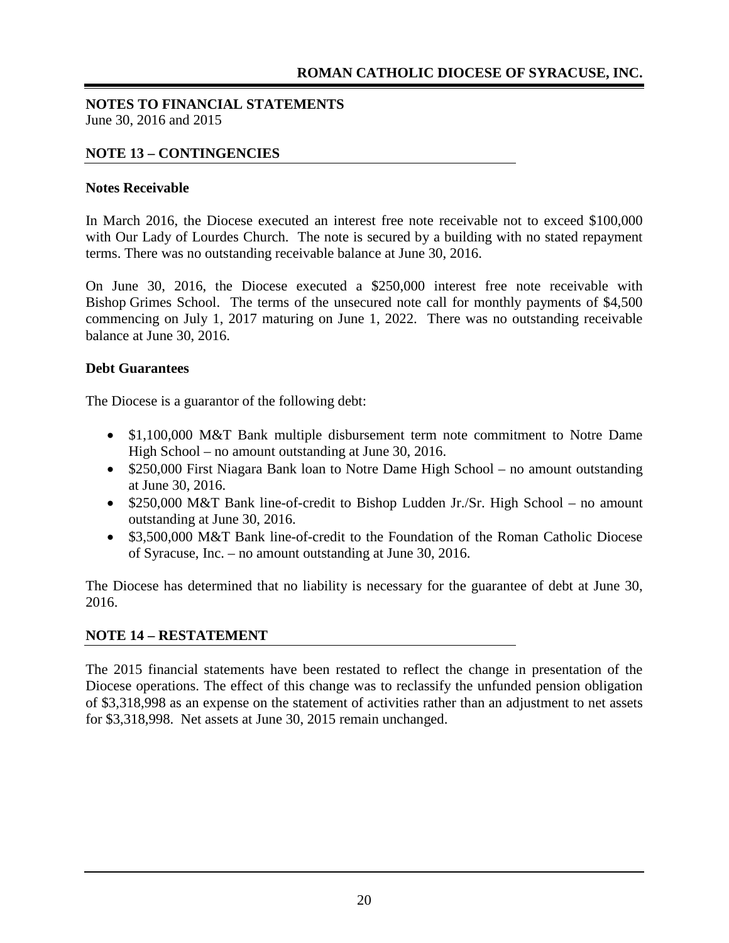#### **NOTE 13 – CONTINGENCIES**

#### **Notes Receivable**

In March 2016, the Diocese executed an interest free note receivable not to exceed \$100,000 with Our Lady of Lourdes Church. The note is secured by a building with no stated repayment terms. There was no outstanding receivable balance at June 30, 2016.

On June 30, 2016, the Diocese executed a \$250,000 interest free note receivable with Bishop Grimes School. The terms of the unsecured note call for monthly payments of \$4,500 commencing on July 1, 2017 maturing on June 1, 2022. There was no outstanding receivable balance at June 30, 2016.

#### **Debt Guarantees**

The Diocese is a guarantor of the following debt:

- \$1,100,000 M&T Bank multiple disbursement term note commitment to Notre Dame High School – no amount outstanding at June 30, 2016.
- \$250,000 First Niagara Bank loan to Notre Dame High School no amount outstanding at June 30, 2016.
- \$250,000 M&T Bank line-of-credit to Bishop Ludden Jr./Sr. High School no amount outstanding at June 30, 2016.
- \$3,500,000 M&T Bank line-of-credit to the Foundation of the Roman Catholic Diocese of Syracuse, Inc. – no amount outstanding at June 30, 2016.

The Diocese has determined that no liability is necessary for the guarantee of debt at June 30, 2016.

#### **NOTE 14 – RESTATEMENT**

The 2015 financial statements have been restated to reflect the change in presentation of the Diocese operations. The effect of this change was to reclassify the unfunded pension obligation of \$3,318,998 as an expense on the statement of activities rather than an adjustment to net assets for \$3,318,998. Net assets at June 30, 2015 remain unchanged.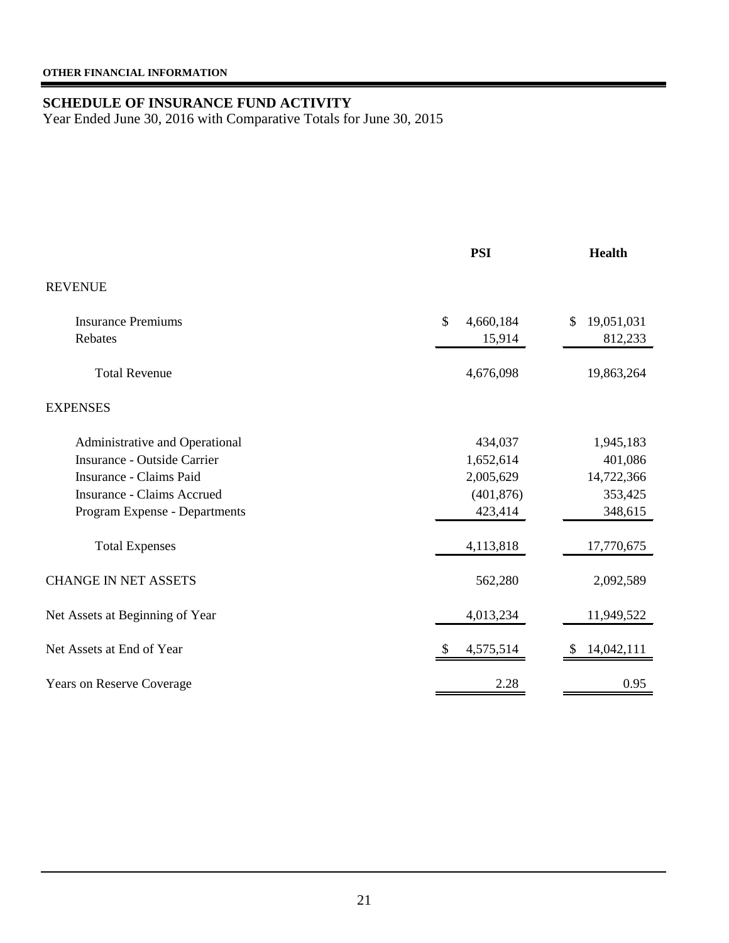#### <span id="page-22-1"></span><span id="page-22-0"></span>**SCHEDULE OF INSURANCE FUND ACTIVITY**

Year Ended June 30, 2016 with Comparative Totals for June 30, 2015

|                                   | <b>PSI</b>      | <b>Health</b>    |
|-----------------------------------|-----------------|------------------|
| <b>REVENUE</b>                    |                 |                  |
| <b>Insurance Premiums</b>         | \$<br>4,660,184 | 19,051,031<br>\$ |
| Rebates                           | 15,914          | 812,233          |
| <b>Total Revenue</b>              | 4,676,098       | 19,863,264       |
| <b>EXPENSES</b>                   |                 |                  |
| Administrative and Operational    | 434,037         | 1,945,183        |
| Insurance - Outside Carrier       | 1,652,614       | 401,086          |
| Insurance - Claims Paid           | 2,005,629       | 14,722,366       |
| <b>Insurance - Claims Accrued</b> | (401, 876)      | 353,425          |
| Program Expense - Departments     | 423,414         | 348,615          |
| <b>Total Expenses</b>             | 4,113,818       | 17,770,675       |
| <b>CHANGE IN NET ASSETS</b>       | 562,280         | 2,092,589        |
| Net Assets at Beginning of Year   | 4,013,234       | 11,949,522       |
| Net Assets at End of Year         | 4,575,514       | 14,042,111       |
| <b>Years on Reserve Coverage</b>  | 2.28            | 0.95             |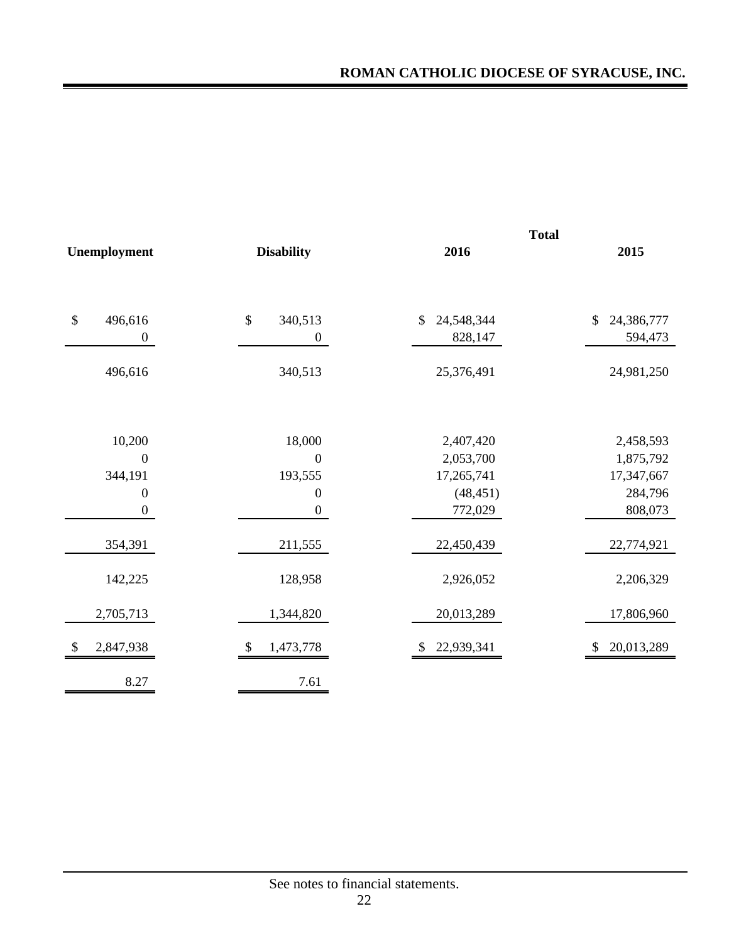|                           |                  |                   | <b>Total</b>     |                             |  |  |
|---------------------------|------------------|-------------------|------------------|-----------------------------|--|--|
|                           | Unemployment     | <b>Disability</b> | 2016             | 2015                        |  |  |
|                           |                  |                   |                  |                             |  |  |
| $\boldsymbol{\mathsf{S}}$ | 496,616          | $\$\,$<br>340,513 | \$<br>24,548,344 | $\mathcal{S}$<br>24,386,777 |  |  |
|                           | $\boldsymbol{0}$ | $\boldsymbol{0}$  | 828,147          | 594,473                     |  |  |
|                           | 496,616          | 340,513           | 25,376,491       | 24,981,250                  |  |  |
|                           |                  |                   |                  |                             |  |  |
|                           | 10,200           | 18,000            | 2,407,420        | 2,458,593                   |  |  |
|                           | $\overline{0}$   | $\boldsymbol{0}$  | 2,053,700        | 1,875,792                   |  |  |
|                           | 344,191          | 193,555           | 17,265,741       | 17,347,667                  |  |  |
|                           | $\boldsymbol{0}$ | $\overline{0}$    | (48, 451)        | 284,796                     |  |  |
|                           | $\boldsymbol{0}$ | $\boldsymbol{0}$  | 772,029          | 808,073                     |  |  |
|                           | 354,391          | 211,555           | 22,450,439       | 22,774,921                  |  |  |
|                           | 142,225          | 128,958           | 2,926,052        | 2,206,329                   |  |  |
|                           | 2,705,713        | 1,344,820         | 20,013,289       | 17,806,960                  |  |  |
| \$                        | 2,847,938        | 1,473,778<br>\$   | 22,939,341       | 20,013,289<br>\$            |  |  |
|                           | 8.27             | 7.61              |                  |                             |  |  |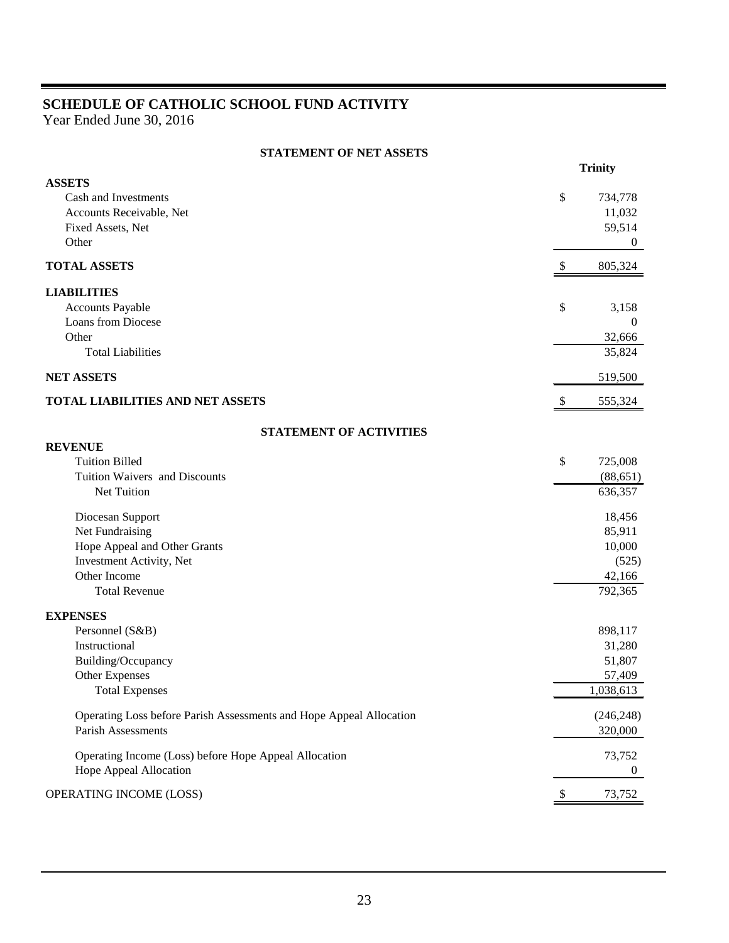## <span id="page-24-0"></span>**SCHEDULE OF CATHOLIC SCHOOL FUND ACTIVITY**

Year Ended June 30, 2016

|  | <b>STATEMENT OF NET ASSETS</b> |  |  |
|--|--------------------------------|--|--|
|--|--------------------------------|--|--|

|                                                                     |               | <b>Trinity</b> |
|---------------------------------------------------------------------|---------------|----------------|
| <b>ASSETS</b>                                                       |               |                |
| Cash and Investments                                                | \$            | 734,778        |
| Accounts Receivable, Net                                            |               | 11,032         |
| Fixed Assets, Net<br>Other                                          |               | 59,514         |
|                                                                     |               | $\overline{0}$ |
| <b>TOTAL ASSETS</b>                                                 | $\frac{1}{2}$ | 805,324        |
| <b>LIABILITIES</b>                                                  |               |                |
| Accounts Payable                                                    | \$            | 3,158          |
| <b>Loans from Diocese</b>                                           |               | $\mathbf{0}$   |
| Other                                                               |               | 32,666         |
| <b>Total Liabilities</b>                                            |               | 35,824         |
| <b>NET ASSETS</b>                                                   |               | 519,500        |
| <b>TOTAL LIABILITIES AND NET ASSETS</b>                             | \$            | 555,324        |
| <b>STATEMENT OF ACTIVITIES</b>                                      |               |                |
| <b>REVENUE</b>                                                      |               |                |
| <b>Tuition Billed</b>                                               | \$            | 725,008        |
| Tuition Waivers and Discounts                                       |               | (88, 651)      |
| Net Tuition                                                         |               | 636,357        |
| Diocesan Support                                                    |               | 18,456         |
| Net Fundraising                                                     |               | 85,911         |
| Hope Appeal and Other Grants                                        |               | 10,000         |
| Investment Activity, Net                                            |               | (525)          |
| Other Income                                                        |               | 42,166         |
| <b>Total Revenue</b>                                                |               | 792,365        |
| <b>EXPENSES</b>                                                     |               |                |
| Personnel (S&B)                                                     |               | 898,117        |
| Instructional                                                       |               | 31,280         |
| Building/Occupancy                                                  |               | 51,807         |
| Other Expenses                                                      |               | 57,409         |
| <b>Total Expenses</b>                                               |               | 1,038,613      |
| Operating Loss before Parish Assessments and Hope Appeal Allocation |               | (246, 248)     |
| Parish Assessments                                                  |               | 320,000        |
| Operating Income (Loss) before Hope Appeal Allocation               |               | 73,752         |
| Hope Appeal Allocation                                              |               | 0              |
| OPERATING INCOME (LOSS)                                             |               | 73,752         |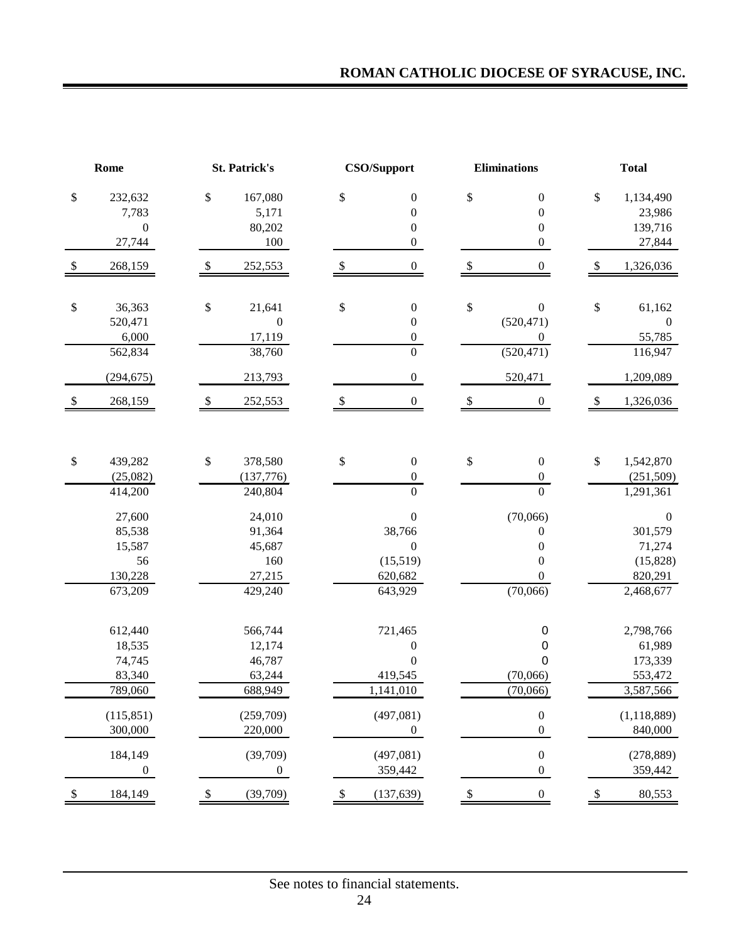## **ROMAN CATHOLIC DIOCESE OF SYRACUSE, INC.**

|                           | <b>CSO/Support</b><br>Rome<br><b>St. Patrick's</b>     |      | <b>Eliminations</b>                                    |                            | <b>Total</b>                                                                     |      |                                                                              |    |                                                                            |
|---------------------------|--------------------------------------------------------|------|--------------------------------------------------------|----------------------------|----------------------------------------------------------------------------------|------|------------------------------------------------------------------------------|----|----------------------------------------------------------------------------|
| \$                        | 232,632<br>7,783<br>$\boldsymbol{0}$<br>27,744         | \$   | 167,080<br>5,171<br>80,202<br>100                      | \$                         | $\boldsymbol{0}$<br>$\boldsymbol{0}$<br>$\boldsymbol{0}$<br>$\boldsymbol{0}$     | \$   | $\boldsymbol{0}$<br>$\boldsymbol{0}$<br>$\boldsymbol{0}$<br>$\boldsymbol{0}$ | \$ | 1,134,490<br>23,986<br>139,716<br>27,844                                   |
|                           | 268,159                                                | \$   | 252,553                                                |                            | $\boldsymbol{0}$                                                                 |      | 0                                                                            |    | 1,326,036                                                                  |
| \$                        | 36,363<br>520,471<br>6,000<br>562,834                  | \$   | 21,641<br>$\boldsymbol{0}$<br>17,119<br>38,760         | \$                         | $\boldsymbol{0}$<br>$\boldsymbol{0}$<br>$\boldsymbol{0}$<br>$\overline{0}$       | \$   | $\boldsymbol{0}$<br>(520, 471)<br>0<br>(520, 471)                            | \$ | 61,162<br>$\boldsymbol{0}$<br>55,785<br>116,947                            |
| $\$$                      | (294, 675)<br>268,159                                  | $\$$ | 213,793<br>252,553                                     | $\boldsymbol{\mathsf{S}}$  | $\boldsymbol{0}$<br>$\boldsymbol{0}$                                             | $\$$ | 520,471<br>$\boldsymbol{0}$                                                  | \$ | 1,209,089<br>1,326,036                                                     |
|                           |                                                        |      |                                                        |                            |                                                                                  |      |                                                                              |    |                                                                            |
| \$                        | 439,282<br>(25,082)<br>414,200                         | \$   | 378,580<br>(137,776)<br>240,804                        | \$                         | $\boldsymbol{0}$<br>$\boldsymbol{0}$<br>$\overline{0}$                           | \$   | $\boldsymbol{0}$<br>$\boldsymbol{0}$<br>$\overline{0}$                       | \$ | 1,542,870<br>(251, 509)<br>1,291,361                                       |
|                           | 27,600<br>85,538<br>15,587<br>56<br>130,228<br>673,209 |      | 24,010<br>91,364<br>45,687<br>160<br>27,215<br>429,240 |                            | $\boldsymbol{0}$<br>38,766<br>$\boldsymbol{0}$<br>(15,519)<br>620,682<br>643,929 |      | (70,066)<br>0<br>0<br>$\boldsymbol{0}$<br>0<br>(70,066)                      |    | $\boldsymbol{0}$<br>301,579<br>71,274<br>(15, 828)<br>820,291<br>2,468,677 |
|                           | 612,440<br>18,535<br>74,745<br>83,340<br>789,060       |      | 566,744<br>12,174<br>46,787<br>63,244<br>688,949       |                            | 721,465<br>$\boldsymbol{0}$<br>$\boldsymbol{0}$<br>419,545<br>1,141,010          |      | $\mathbf 0$<br>0<br>0<br>(70,066)<br>(70,066)                                |    | 2,798,766<br>61,989<br>173,339<br>553,472<br>3,587,566                     |
|                           | (115, 851)<br>300,000                                  |      | (259,709)<br>220,000                                   |                            | (497,081)<br>$\boldsymbol{0}$                                                    |      | $\boldsymbol{0}$<br>$\boldsymbol{0}$                                         |    | (1, 118, 889)<br>840,000                                                   |
|                           | 184,149<br>$\boldsymbol{0}$                            |      | (39,709)<br>$\boldsymbol{0}$                           |                            | (497,081)<br>359,442                                                             |      | $\boldsymbol{0}$<br>$\boldsymbol{0}$                                         |    | (278, 889)<br>359,442                                                      |
| $\boldsymbol{\mathsf{S}}$ | 184,149                                                | \$   | (39,709)                                               | $\boldsymbol{\mathcal{S}}$ | (137, 639)                                                                       | \$   | $\boldsymbol{0}$                                                             | \$ | 80,553                                                                     |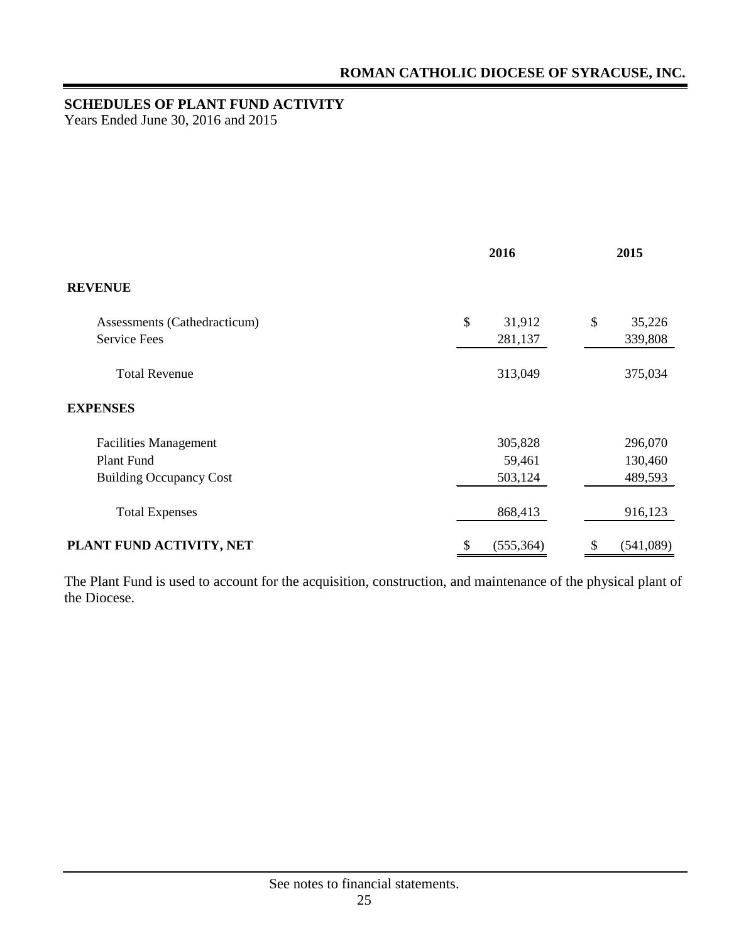## <span id="page-26-0"></span>**SCHEDULES OF PLANT FUND ACTIVITY**

Years Ended June 30, 2016 and 2015

|                                | 2016             | 2015            |  |
|--------------------------------|------------------|-----------------|--|
| <b>REVENUE</b>                 |                  |                 |  |
| Assessments (Cathedracticum)   | \$<br>31,912     | \$<br>35,226    |  |
| <b>Service Fees</b>            | 281,137          | 339,808         |  |
| <b>Total Revenue</b>           | 313,049          | 375,034         |  |
| <b>EXPENSES</b>                |                  |                 |  |
| <b>Facilities Management</b>   | 305,828          | 296,070         |  |
| Plant Fund                     | 59,461           | 130,460         |  |
| <b>Building Occupancy Cost</b> | 503,124          | 489,593         |  |
| <b>Total Expenses</b>          | 868,413          | 916,123         |  |
| PLANT FUND ACTIVITY, NET       | (555, 364)<br>\$ | (541,089)<br>\$ |  |

The Plant Fund is used to account for the acquisition, construction, and maintenance of the physical plant of the Diocese.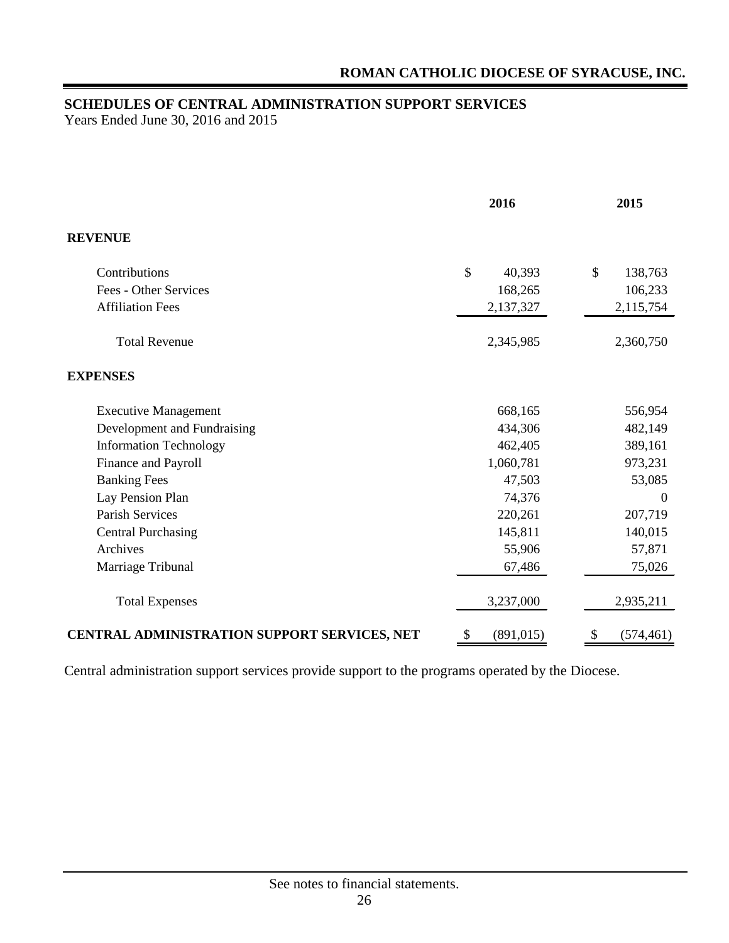## <span id="page-27-0"></span>**SCHEDULES OF CENTRAL ADMINISTRATION SUPPORT SERVICES**

Years Ended June 30, 2016 and 2015

|                                              | 2016             | 2015             |
|----------------------------------------------|------------------|------------------|
| <b>REVENUE</b>                               |                  |                  |
| Contributions                                | \$<br>40,393     | \$<br>138,763    |
| Fees - Other Services                        | 168,265          | 106,233          |
| <b>Affiliation Fees</b>                      | 2,137,327        | 2,115,754        |
| <b>Total Revenue</b>                         | 2,345,985        | 2,360,750        |
| <b>EXPENSES</b>                              |                  |                  |
| <b>Executive Management</b>                  | 668,165          | 556,954          |
| Development and Fundraising                  | 434,306          | 482,149          |
| <b>Information Technology</b>                | 462,405          | 389,161          |
| Finance and Payroll                          | 1,060,781        | 973,231          |
| <b>Banking Fees</b>                          | 47,503           | 53,085           |
| Lay Pension Plan                             | 74,376           | $\overline{0}$   |
| <b>Parish Services</b>                       | 220,261          | 207,719          |
| <b>Central Purchasing</b>                    | 145,811          | 140,015          |
| Archives                                     | 55,906           | 57,871           |
| Marriage Tribunal                            | 67,486           | 75,026           |
| <b>Total Expenses</b>                        | 3,237,000        | 2,935,211        |
| CENTRAL ADMINISTRATION SUPPORT SERVICES, NET | \$<br>(891, 015) | \$<br>(574, 461) |

Central administration support services provide support to the programs operated by the Diocese.